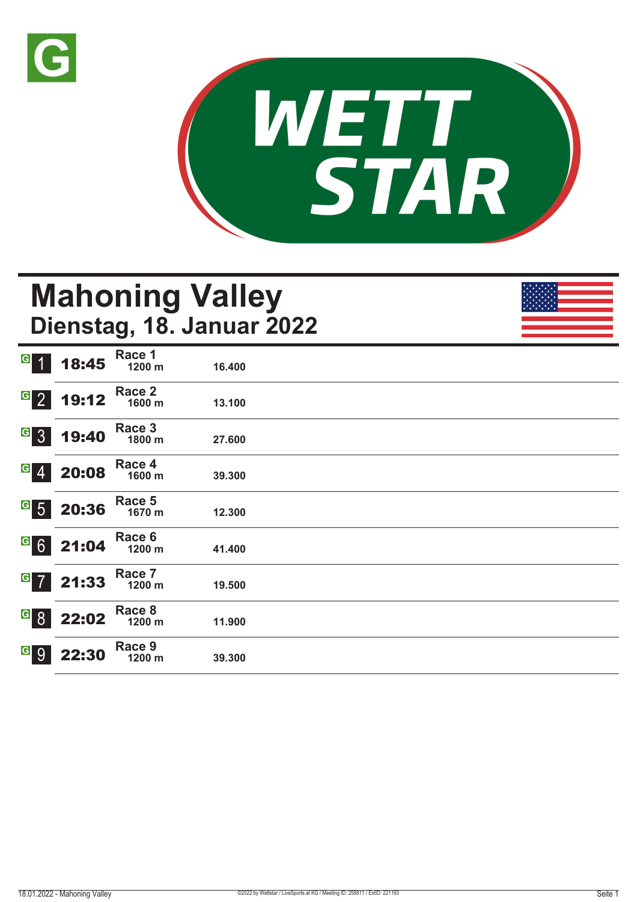



# **Mahoning Valley Dienstag, 18. Januar 2022**

| $\overline{G}$<br>$\lceil 1 \rceil$ | 18:45 | Race 1<br>1200 m | 16.400 |  |  |
|-------------------------------------|-------|------------------|--------|--|--|
| $\overline{G}$ 2                    | 19:12 | Race 2<br>1600 m | 13.100 |  |  |
| $G_{3}$                             | 19:40 | Race 3<br>1800 m | 27.600 |  |  |
| $G \ 4$                             | 20:08 | Race 4<br>1600 m | 39.300 |  |  |
| $\overline{G}$ 5                    | 20:36 | Race 5<br>1670 m | 12.300 |  |  |
| $G$ 6                               | 21:04 | Race 6<br>1200 m | 41.400 |  |  |
| $G$ 7                               | 21:33 | Race 7<br>1200 m | 19.500 |  |  |
| G 8                                 | 22:02 | Race 8<br>1200 m | 11.900 |  |  |
| <u>a</u> 9                          | 22:30 | Race 9<br>1200 m | 39.300 |  |  |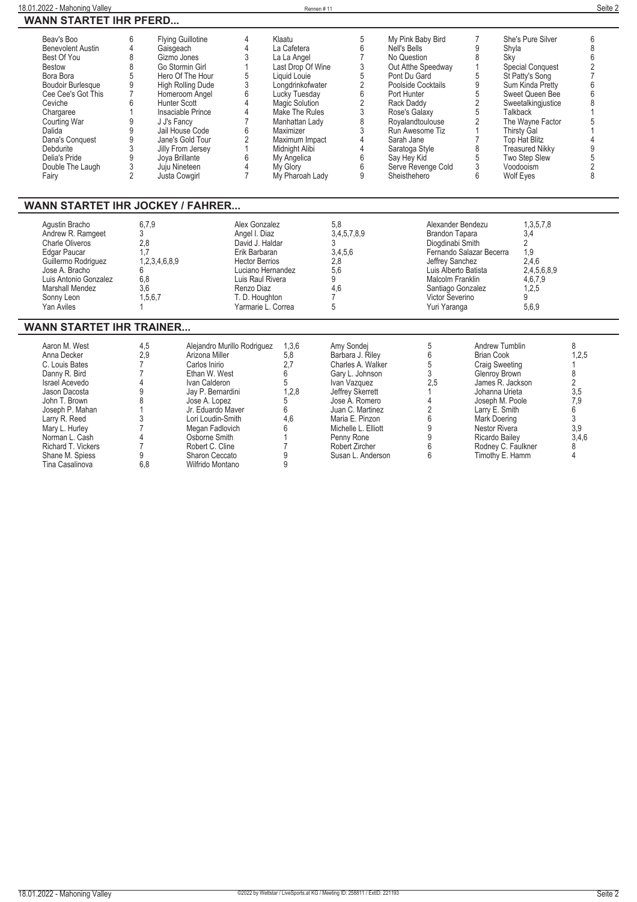| Beav's Boo               | 6 | <b>Flying Guillotine</b> | Klaatu                | My Pink Baby Bird  | She's Pure Silver       |  |
|--------------------------|---|--------------------------|-----------------------|--------------------|-------------------------|--|
| <b>Benevolent Austin</b> |   | Gaisgeach                | La Cafetera           | Nell's Bells       | Shvla                   |  |
| Best Of You              |   | Gizmo Jones              | La La Angel           | No Question        | Skv                     |  |
| <b>Bestow</b>            | 8 | Go Stormin Girl          | Last Drop Of Wine     | Out Atthe Speedway | <b>Special Conquest</b> |  |
| Bora Bora                |   | Hero Of The Hour         | Liauid Louie          | Pont Du Gard       | St Patty's Song         |  |
| <b>Boudoir Burlesque</b> |   | <b>High Rolling Dude</b> | Longdrinkofwater      | Poolside Cocktails | Sum Kinda Pretty        |  |
| Cee Cee's Got This       |   | Homeroom Angel           | Lucky Tuesday         | Port Hunter        | Sweet Queen Bee         |  |
| Ceviche                  |   | Hunter Scott             | <b>Magic Solution</b> | Rack Daddy         | Sweetalkingjustice      |  |
| Chargaree                |   | Insaciable Prince        | Make The Rules        | Rose's Galaxy      | Talkback                |  |
| Courting War             |   | J J's Fancy              | Manhattan Lady        | Royalandtoulouse   | The Wavne Factor        |  |
| Dalida                   |   | Jail House Code          | Maximizer             | Run Awesome Tiz    | <b>Thirsty Gal</b>      |  |
| Dana's Conquest          |   | Jane's Gold Tour         | Maximum Impact        | Sarah Jane         | <b>Top Hat Blitz</b>    |  |
| Debdurite                |   | Jilly From Jersey        | Midnight Alibi        | Saratoga Style     | <b>Treasured Nikky</b>  |  |
| Delia's Pride            |   | Jova Brillante           | My Angelica           | Sav Hev Kid        | Two Step Slew           |  |
| Double The Laugh         |   | Juju Nineteen            | My Glory              | Serve Revenge Cold | Voodooism               |  |
| Fairv                    |   | Justa Cowairl            | My Pharoah Lady       | Sheisthehero       | <b>Wolf Eves</b>        |  |

#### **WANN STARTET IHR JOCKEY / FAHRER...**

| Agustin Bracho<br>Andrew R. Ramgeet<br><b>Charle Oliveros</b><br>Edgar Paucar<br>Guillermo Rodriguez<br>Jose A. Bracho<br>Luis Antonio Gonzalez<br><b>Marshall Mendez</b><br>Sonny Leon<br>Yan Aviles | 6,7,9<br>2.8<br>1,2,3,4,6,8,9<br>6.8<br>3.6<br>.5.6.7 | Alex Gonzalez<br>Angel I. Diaz<br>David J. Haldar<br>Erik Barbaran<br><b>Hector Berrios</b><br>Luciano Hernandez<br>Luis Raul Rivera<br>Renzo Diaz<br>T. D. Houghton<br>Yarmarie L. Correa | 5.8<br>3,4,5,7,8,9<br>3,4,5,6<br>2,8<br>5.6<br>4.6 | Alexander Bendezu<br>Brandon Tapara<br>Diogdinabi Smith<br>Fernando Salazar Becerra<br>Jeffrey Sanchez<br>Luis Alberto Batista<br>Malcolm Franklin<br>Santiago Gonzalez<br>Victor Severino<br>Yuri Yaranga | 1,3,5,7,8<br>3.4<br>1.9<br>2,4,6<br>2.4,5,6,8,9<br>4,6,7,9<br>1,2.5<br>5,6,9 |
|-------------------------------------------------------------------------------------------------------------------------------------------------------------------------------------------------------|-------------------------------------------------------|--------------------------------------------------------------------------------------------------------------------------------------------------------------------------------------------|----------------------------------------------------|------------------------------------------------------------------------------------------------------------------------------------------------------------------------------------------------------------|------------------------------------------------------------------------------|
|-------------------------------------------------------------------------------------------------------------------------------------------------------------------------------------------------------|-------------------------------------------------------|--------------------------------------------------------------------------------------------------------------------------------------------------------------------------------------------|----------------------------------------------------|------------------------------------------------------------------------------------------------------------------------------------------------------------------------------------------------------------|------------------------------------------------------------------------------|

#### **WANN STARTET IHR TRAINER...**

| Aaron M. West      | 4,5 | Alejandro Murillo Rodriguez | 1,3,6 | Amy Sondei          |     | Andrew Tumblin     |       |
|--------------------|-----|-----------------------------|-------|---------------------|-----|--------------------|-------|
| Anna Decker        | 2.9 | Arizona Miller              | 5.8   | Barbara J. Riley    |     | Brian Cook         | 1,2,5 |
| C. Louis Bates     |     | Carlos Inirio               |       | Charles A. Walker   |     | Craig Sweeting     |       |
| Danny R. Bird      |     | Ethan W. West               |       | Gary L. Johnson     |     | Glenrov Brown      |       |
| Israel Acevedo     |     | Ivan Calderon               |       | Ivan Vazquez        | 2.5 | James R. Jackson   |       |
| Jason Dacosta      |     | Jay P. Bernardini           | 1,2,8 | Jeffrev Skerrett    |     | Johanna Urieta     | 3,5   |
| John T. Brown      |     | Jose A. Lopez               |       | Jose A. Romero      |     | Joseph M. Poole    | 7,9   |
| Joseph P. Mahan    |     | Jr. Eduardo Maver           |       | Juan C. Martinez    |     | Larry E. Smith     |       |
| Larry R. Reed      |     | Lori Loudin-Smith           | 4.6   | Maria E. Pinzon     |     | Mark Doering       |       |
| Mary L. Hurley     |     | Megan Fadlovich             |       | Michelle L. Elliott |     | Nestor Rivera      | 3,9   |
| Norman L. Cash     |     | Osborne Smith               |       | Penny Rone          |     | Ricardo Bailey     | 3,4,6 |
| Richard T. Vickers |     | Robert C. Cline             |       | Robert Zircher      |     | Rodney C. Faulkner |       |
| Shane M. Spiess    |     | Sharon Ceccato              |       | Susan L. Anderson   |     | Timothy E. Hamm    |       |
| Tina Casalinova    | 6,8 | Wilfrido Montano            |       |                     |     |                    |       |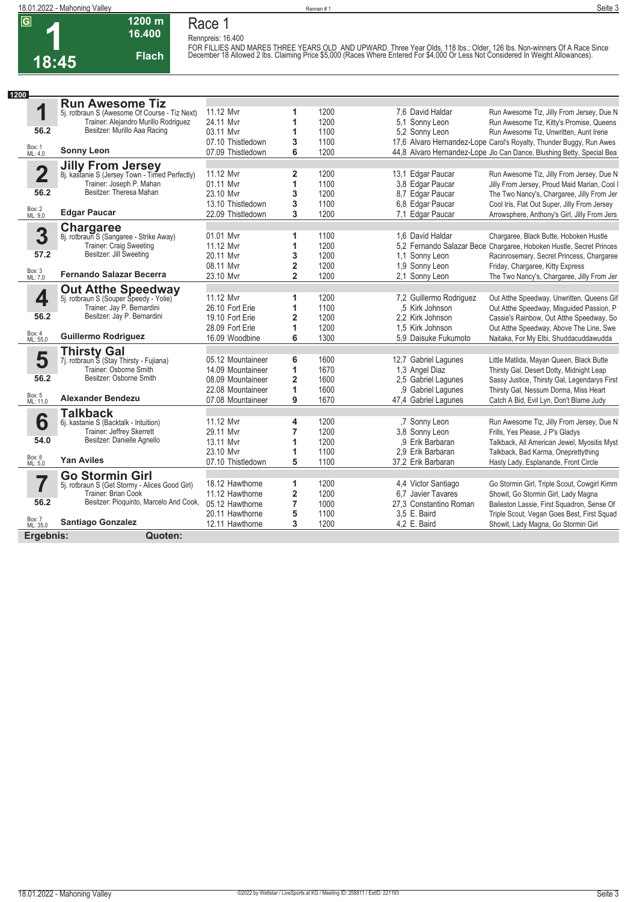**1**

**18:45 1200 m 16.400** 

**Flach**

**Race 1**

**Rennpreis: 16.400** FOR FILLIES AND MARES THREE YEARS OLD AND UPWARD. Three Year Olds, 118 lbs.; Older, 126 lbs. Non-winners Of A Race Since<br>December 18 Allowed 2 lbs. Claiming Price \$5,000 (Races Where Entered For \$4,000 Or Less Not Conside

| 1200                    |                                                                     |                   |                         |      |                                                                       |
|-------------------------|---------------------------------------------------------------------|-------------------|-------------------------|------|-----------------------------------------------------------------------|
|                         | <b>Run Awesome Tiz</b>                                              |                   |                         |      |                                                                       |
| 1                       | 5j. rotbraun S (Awesome Of Course - Tiz Next)                       | 11.12 Mvr         | 1                       | 1200 | 7.6 David Haldar<br>Run Awesome Tiz, Jilly From Jersey, Due N         |
|                         | Trainer: Alejandro Murillo Rodriguez                                | 24.11 Mvr         | 1                       | 1200 | 5,1 Sonny Leon<br>Run Awesome Tiz, Kitty's Promise, Queens            |
| 56.2                    | Besitzer: Murillo Aaa Racing                                        | 03.11 Myr         | 1                       | 1100 | 5,2 Sonny Leon<br>Run Awesome Tiz, Unwritten, Aunt Irene              |
|                         |                                                                     | 07.10 Thistledown | 3                       | 1100 | 17,6 Alvaro Hernandez-Lope Carol's Royalty, Thunder Buggy, Run Awes   |
| Box: 1<br>ML: 4,0       | <b>Sonny Leon</b>                                                   | 07.09 Thistledown | 6                       | 1200 | 44,8 Alvaro Hernandez-Lope Jlo Can Dance, Blushing Betty, Special Bea |
|                         | <b>Jilly From Jersey</b>                                            |                   |                         |      |                                                                       |
| $\overline{\mathbf{2}}$ | 8j. kastanie S (Jersey Town - Timed Perfectly)                      | 11.12 Mvr         | 2                       | 1200 | 13,1 Edgar Paucar<br>Run Awesome Tiz, Jilly From Jersey, Due N        |
|                         | Trainer: Joseph P. Mahan                                            | 01.11 Mvr         | 1                       | 1100 | 3.8 Edgar Paucar<br>Jilly From Jersey, Proud Maid Marian, Cool I      |
| 56.2                    | Besitzer: Theresa Mahan                                             | 23.10 Mvr         | 3                       | 1200 | 8.7 Edgar Paucar<br>The Two Nancy's, Chargaree, Jilly From Jer        |
|                         |                                                                     | 13.10 Thistledown | 3                       | 1100 | 6,8 Edgar Paucar<br>Cool Iris, Flat Out Super, Jilly From Jersey      |
| Box: 2<br>ML: 9,0       | <b>Edgar Paucar</b>                                                 | 22.09 Thistledown | 3                       | 1200 | 7.1 Edgar Paucar<br>Arrowsphere, Anthony's Girl, Jilly From Jers      |
|                         | Chargaree                                                           |                   |                         |      |                                                                       |
| 3                       | 8j. rotbraun S (Sangaree - Strike Away)                             | 01.01 Mvr         | 1                       | 1100 | 1.6 David Haldar<br>Chargaree, Black Butte, Hoboken Hustle            |
|                         | Trainer: Craig Sweeting                                             | 11.12 Mvr         | 1                       | 1200 | 5.2 Fernando Salazar Bece Chargaree, Hoboken Hustle, Secret Princes   |
| 57.2                    | Besitzer: Jill Sweeting                                             | 20.11 Mvr         | 3                       | 1200 | 1.1 Sonny Leon<br>Racinrosemary, Secret Princess, Chargaree           |
|                         |                                                                     | 08.11 Mvr         | $\overline{\mathbf{2}}$ | 1200 | 1.9 Sonny Leon<br>Friday, Chargaree, Kitty Express                    |
| Box: 3<br>ML: 7,0       | <b>Fernando Salazar Becerra</b>                                     | 23.10 Mvr         | $\overline{2}$          | 1200 | 2.1 Sonny Leon<br>The Two Nancy's, Chargaree, Jilly From Jer          |
|                         |                                                                     |                   |                         |      |                                                                       |
| 4                       | <b>Out Atthe Speedway</b><br>5j. rotbraun S (Souper Speedy - Yolie) | 11.12 Mvr         | 1                       | 1200 | 7,2 Guillermo Rodriguez<br>Out Atthe Speedway, Unwritten, Queens Gif  |
|                         | Trainer: Jay P. Bernardini                                          | 26.10 Fort Erie   | 1                       | 1100 | .5 Kirk Johnson<br>Out Atthe Speedway, Misguided Passion, P           |
| 56.2                    | Besitzer: Jay P. Bernardini                                         | 19.10 Fort Erie   | $\overline{2}$          | 1200 | 2.2 Kirk Johnson<br>Cassie's Rainbow, Out Atthe Speedway, So          |
|                         |                                                                     | 28.09 Fort Erie   | 1                       | 1200 | 1.5 Kirk Johnson<br>Out Atthe Speedway, Above The Line, Swe           |
| Box: 4<br>ML: 55,0      | <b>Guillermo Rodriguez</b>                                          | 16.09 Woodbine    | 6                       | 1300 | 5,9 Daisuke Fukumoto<br>Naitaka, For My Elbi, Shuddacuddawudda        |
|                         | <b>Thirsty Gal</b>                                                  |                   |                         |      |                                                                       |
| 5                       | 7j. rotbraun S (Stay Thirsty - Fujiana)                             | 05.12 Mountaineer | 6                       | 1600 | 12,7 Gabriel Lagunes<br>Little Matilda, Mayan Queen, Black Butte      |
|                         | Trainer: Osborne Smith                                              | 14.09 Mountaineer | 1                       | 1670 | 1,3 Angel Diaz<br>Thirsty Gal, Desert Dotty, Midnight Leap            |
| 56.2                    | Besitzer: Osborne Smith                                             | 08.09 Mountaineer | $\overline{2}$          | 1600 | 2,5 Gabriel Laqunes<br>Sassy Justice, Thirsty Gal, Legendarys First   |
|                         |                                                                     | 22.08 Mountaineer | 1                       | 1600 | ,9 Gabriel Lagunes<br>Thirsty Gal, Nessum Dorma, Miss Heart           |
| Box: 5<br>ML: 11,0      | <b>Alexander Bendezu</b>                                            | 07.08 Mountaineer | 9                       | 1670 | 47,4 Gabriel Lagunes<br>Catch A Bid, Evil Lyn, Don't Blame Judy       |
|                         | <b>Talkback</b>                                                     |                   |                         |      |                                                                       |
| 6                       | 6j. kastanie S (Backtalk - Intuition)                               | 11.12 Mvr         | 4                       | 1200 | .7 Sonny Leon<br>Run Awesome Tiz, Jilly From Jersey, Due N            |
|                         | Trainer: Jeffrey Skerrett                                           | 29.11 Mvr         | $\overline{7}$          | 1200 | 3,8 Sonny Leon<br>Frills, Yes Please, J P's Gladys                    |
| 54.0                    | Besitzer: Danielle Agnello                                          | 13.11 Myr         | 1                       | 1200 | .9 Erik Barbaran<br>Talkback, All American Jewel, Myositis Myst       |
|                         |                                                                     | 23.10 Mvr         | 1                       | 1100 | 2.9 Erik Barbaran<br>Talkback, Bad Karma, Oneprettything              |
| Box: 6<br>ML: 5,0       | <b>Yan Aviles</b>                                                   | 07.10 Thistledown | 5                       | 1100 | 37.2 Erik Barbaran<br>Hasty Lady, Esplanande, Front Circle            |
|                         | <b>Go Stormin Girl</b>                                              |                   |                         |      |                                                                       |
|                         | 5j. rotbraun S (Get Stormy - Alices Good Girl)                      | 18.12 Hawthorne   | 1                       | 1200 | 4,4 Victor Santiago<br>Go Stormin Girl, Triple Scout, Cowgirl Kimm    |
|                         | Trainer: Brian Cook                                                 | 11.12 Hawthorne   | $\overline{\mathbf{2}}$ | 1200 | 6.7 Javier Tavares<br>Showit, Go Stormin Girl, Lady Magna             |
| 56.2                    | Besitzer: Pioquinto, Marcelo And Cook,                              | 05.12 Hawthorne   | 7                       | 1000 | 27,3 Constantino Roman<br>Baileston Lassie, First Squadron, Sense Of  |
|                         |                                                                     | 20.11 Hawthorne   | 5                       | 1100 | 3,5 E. Baird<br>Triple Scout, Vegan Goes Best, First Squad            |
| Box: 7<br>ML: 35,0      | <b>Santiago Gonzalez</b>                                            | 12.11 Hawthorne   | 3                       | 1200 | 4,2 E. Baird<br>Showit, Lady Magna, Go Stormin Girl                   |
| Ergebnis:               | Quoten:                                                             |                   |                         |      |                                                                       |
|                         |                                                                     |                   |                         |      |                                                                       |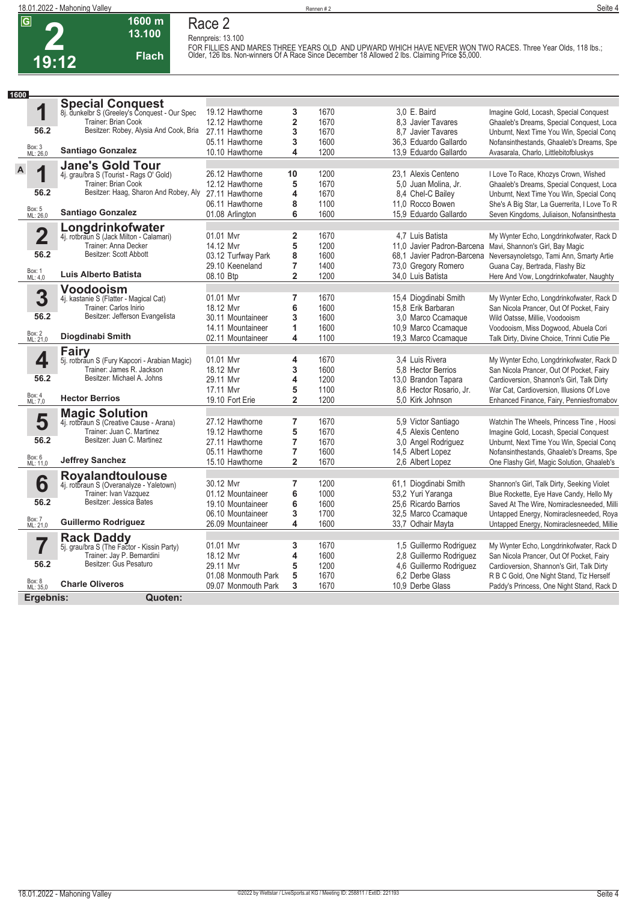

#### **1600 m 13.100 Flach Race 2 Rennpreis: 13.100**

FOR FILLIES AND MARES THREE YEARS OLD AND UPWARD WHICH HAVE NEVER WON TWO RACES. Three Year Olds, 118 lbs.;<br>Older, 126 lbs. Non-winners Of A Race Since December 18 Allowed 2 lbs. Claiming Price \$5,000.

| 1600               |                                                                  |                     |                         |      |                            |                                              |
|--------------------|------------------------------------------------------------------|---------------------|-------------------------|------|----------------------------|----------------------------------------------|
|                    | <b>Special Conquest</b>                                          |                     |                         |      |                            |                                              |
| 1                  | 8j. dunkelbr S (Greeley's Conquest - Our Spec                    | 19.12 Hawthorne     | 3                       | 1670 | 3,0 E. Baird               | Imagine Gold, Locash, Special Conquest       |
|                    | Trainer: Brian Cook                                              | 12.12 Hawthorne     | $\overline{\mathbf{2}}$ | 1670 | 8.3 Javier Tavares         | Ghaaleb's Dreams, Special Conquest, Loca     |
| 56.2               | Besitzer: Robey, Alysia And Cook, Bria                           | 27.11 Hawthorne     | 3                       | 1670 | 8.7 Javier Tavares         | Unburnt, Next Time You Win, Special Cong     |
|                    |                                                                  | 05.11 Hawthorne     | 3                       | 1600 | 36.3 Eduardo Gallardo      | Nofansinthestands, Ghaaleb's Dreams, Spe     |
| Box: 3<br>ML: 26,0 | <b>Santiago Gonzalez</b>                                         | 10.10 Hawthorne     | 4                       | 1200 | 13,9 Eduardo Gallardo      | Avasarala, Charlo, Littlebitofbluskys        |
|                    | <b>Jane's Gold Tour</b>                                          |                     |                         |      |                            |                                              |
| A<br>1             | 4j. grau/bra S (Tourist - Rags O' Gold)                          | 26.12 Hawthorne     | 10                      | 1200 | 23.1 Alexis Centeno        | I Love To Race, Khozys Crown, Wished         |
|                    | Trainer: Brian Cook                                              | 12.12 Hawthorne     | 5                       | 1670 | 5.0 Juan Molina, Jr.       | Ghaaleb's Dreams, Special Conquest, Loca     |
| 56.2               | Besitzer: Haag, Sharon And Robey, Aly                            | 27.11 Hawthorne     | 4                       | 1670 | 8.4 Chel-C Bailey          | Unburnt, Next Time You Win, Special Cong     |
|                    |                                                                  | 06.11 Hawthorne     | 8                       | 1100 | 11,0 Rocco Bowen           | She's A Big Star, La Guerrerita, I Love To R |
| Box: 5<br>ML: 26,0 | <b>Santiago Gonzalez</b>                                         | 01.08 Arlington     | 6                       | 1600 | 15.9 Eduardo Gallardo      | Seven Kingdoms, Juliaison, Nofansinthesta    |
|                    | Longdrinkofwater                                                 |                     |                         |      |                            |                                              |
| $\overline{2}$     | 4j. rotbraun S (Jack Milton - Calamari)                          | 01.01 Mvr           | 2                       | 1670 | 4.7 Luis Batista           | My Wynter Echo, Longdrinkofwater, Rack D     |
|                    | Trainer: Anna Decker                                             | 14.12 Mvr           | 5                       | 1200 | 11,0 Javier Padron-Barcena | Mavi, Shannon's Girl, Bay Magic              |
| 56.2               | Besitzer: Scott Abbott                                           | 03.12 Turfway Park  | 8                       | 1600 | 68,1 Javier Padron-Barcena | Neversaynoletsgo, Tami Ann, Smarty Artie     |
|                    |                                                                  | 29.10 Keeneland     | $\overline{7}$          | 1400 | 73,0 Gregory Romero        | Guana Cay, Bertrada, Flashy Biz              |
| Box: 1<br>ML: 4,0  | <b>Luis Alberto Batista</b>                                      | 08.10 Btp           | $\overline{2}$          | 1200 | 34.0 Luis Batista          | Here And Vow, Longdrinkofwater, Naughty      |
|                    | <b>Voodooism</b>                                                 |                     |                         |      |                            |                                              |
| 3                  | 4j. kastanie S (Flatter - Magical Cat)                           | 01.01 Mvr           | 7                       | 1670 | 15,4 Diogdinabi Smith      | My Wynter Echo, Longdrinkofwater, Rack D     |
|                    | Trainer: Carlos Inirio                                           | 18.12 Mvr           | 6                       | 1600 | 15.8 Erik Barbaran         | San Nicola Prancer, Out Of Pocket, Fairy     |
| 56.2               | Besitzer: Jefferson Evangelista                                  | 30.11 Mountaineer   | 3                       | 1600 | 3.0 Marco Ccamague         | Wild Oatsse, Millie, Voodooism               |
|                    |                                                                  | 14.11 Mountaineer   | 1                       | 1600 | 10,9 Marco Ccamaque        | Voodooism, Miss Dogwood, Abuela Cori         |
| Box: 2<br>ML: 21,0 | Diogdinabi Smith                                                 | 02.11 Mountaineer   | 4                       | 1100 | 19,3 Marco Ccamague        | Talk Dirty, Divine Choice, Trinni Cutie Pie  |
|                    | <b>Fairy</b>                                                     |                     |                         |      |                            |                                              |
| 4                  | 5j. rotbraun S (Fury Kapcori - Arabian Magic)                    | 01.01 Mvr           | 4                       | 1670 | 3.4 Luis Rivera            | My Wynter Echo, Longdrinkofwater, Rack D     |
|                    | Trainer: James R. Jackson                                        | 18.12 Mvr           | 3                       | 1600 | 5.8 Hector Berrios         | San Nicola Prancer, Out Of Pocket, Fairy     |
| 56.2               | Besitzer: Michael A. Johns                                       | 29.11 Mvr           | 4                       | 1200 | 13,0 Brandon Tapara        | Cardioversion, Shannon's Girl, Talk Dirty    |
|                    |                                                                  | 17.11 Myr           | 5                       | 1100 | 8.6 Hector Rosario, Jr.    | War Cat, Cardioversion, Illusions Of Love    |
| Box: 4<br>ML: 7,0  | <b>Hector Berrios</b>                                            | 19.10 Fort Erie     | $\overline{2}$          | 1200 | 5.0 Kirk Johnson           | Enhanced Finance, Fairy, Penniesfromabov     |
|                    |                                                                  |                     |                         |      |                            |                                              |
| 5                  | <b>Magic Solution</b><br>4j. rotbraun S (Creative Cause - Arana) | 27.12 Hawthorne     | 7                       | 1670 | 5,9 Victor Santiago        | Watchin The Wheels, Princess Tine, Hoosi     |
|                    | Trainer: Juan C. Martinez                                        | 19.12 Hawthorne     | 5                       | 1670 | 4,5 Alexis Centeno         | Imagine Gold, Locash, Special Conquest       |
| 56.2               | Besitzer: Juan C. Martinez                                       | 27.11 Hawthorne     | 7                       | 1670 | 3,0 Angel Rodriguez        | Unburnt, Next Time You Win, Special Conq     |
|                    |                                                                  | 05.11 Hawthorne     | $\overline{7}$          | 1600 | 14,5 Albert Lopez          | Nofansinthestands, Ghaaleb's Dreams, Spe     |
| Box: 6<br>ML: 11,0 | <b>Jeffrey Sanchez</b>                                           | 15.10 Hawthorne     | $\overline{\mathbf{2}}$ | 1670 | 2.6 Albert Lopez           | One Flashy Girl, Magic Solution, Ghaaleb's   |
|                    | <b>Rovalandtoulouse</b>                                          |                     |                         |      |                            |                                              |
| 6                  | 4j. rotbraun S (Overanalyze - Yaletown)                          | 30.12 Mvr           | 7                       | 1200 | 61,1 Diogdinabi Smith      | Shannon's Girl, Talk Dirty, Seeking Violet   |
|                    | Trainer: Ivan Vazquez                                            | 01.12 Mountaineer   | 6                       | 1000 | 53,2 Yuri Yaranga          | Blue Rockette, Eye Have Candy, Hello My      |
| 56.2               | Besitzer: Jessica Bates                                          | 19.10 Mountaineer   | 6                       | 1600 | 25,6 Ricardo Barrios       | Saved At The Wire, Nomiraclesneeded, Milli   |
|                    |                                                                  | 06.10 Mountaineer   | 3                       | 1700 | 32,5 Marco Ccamaque        | Untapped Energy, Nomiraclesneeded, Roya      |
| Box: 7<br>ML: 21,0 | <b>Guillermo Rodriguez</b>                                       | 26.09 Mountaineer   | 4                       | 1600 | 33,7 Odhair Mayta          | Untapped Energy, Nomiraclesneeded, Millie    |
|                    | <b>Rack Daddy</b>                                                |                     |                         |      |                            |                                              |
| 7                  | 5j. grau/bra S (The Factor - Kissin Party)                       | 01.01 Mvr           | 3                       | 1670 | 1,5 Guillermo Rodriguez    | My Wynter Echo, Longdrinkofwater, Rack D     |
|                    | Trainer: Jay P. Bernardini                                       | 18.12 Myr           | 4                       | 1600 | 2.8 Guillermo Rodriguez    | San Nicola Prancer, Out Of Pocket, Fairy     |
| 56.2               | Besitzer: Gus Pesaturo                                           | 29.11 Mvr           | 5                       | 1200 | 4,6 Guillermo Rodriguez    | Cardioversion, Shannon's Girl, Talk Dirty    |
|                    |                                                                  | 01.08 Monmouth Park | 5                       | 1670 | 6.2 Derbe Glass            | R B C Gold, One Night Stand, Tiz Herself     |
| Box: 8<br>ML: 35,0 | <b>Charle Oliveros</b>                                           | 09.07 Monmouth Park | 3                       | 1670 | 10.9 Derbe Glass           | Paddy's Princess, One Night Stand, Rack D    |
| Ergebnis:          | Quoten:                                                          |                     |                         |      |                            |                                              |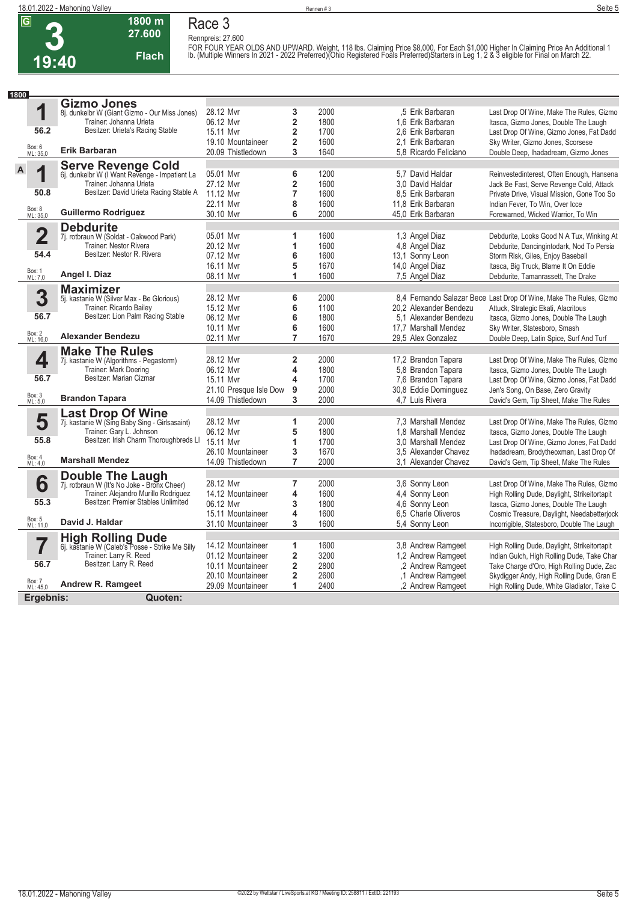**1800 m Race 3**



**27.600 Flach**

**Rennpreis: 27.600** FOR FOUR YEAR OLDS AND UPWARD. Weight, 118 lbs. Claiming Price \$8,000, For Each \$1,000 Higher In Claiming Price An Additional 1<br>lb. (Multiple Winners In 2021 - 2022 Preferred)(Ohio Registered Foals Preferred)Starters in Le

| 1800 |                         |                                                                                     |                        |                         |      |                        |                                                                    |
|------|-------------------------|-------------------------------------------------------------------------------------|------------------------|-------------------------|------|------------------------|--------------------------------------------------------------------|
|      |                         | <b>Gizmo Jones</b>                                                                  |                        |                         |      |                        |                                                                    |
|      | 1                       | 8j. dunkelbr W (Giant Gizmo - Our Miss Jones)                                       | 28.12 Mvr              | 3                       | 2000 | .5 Erik Barbaran       | Last Drop Of Wine, Make The Rules, Gizmo                           |
|      |                         | Trainer: Johanna Urieta                                                             | 06.12 Mvr              | $\overline{\mathbf{2}}$ | 1800 | 1.6 Erik Barbaran      | Itasca, Gizmo Jones, Double The Laugh                              |
|      | 56.2                    | Besitzer: Urieta's Racing Stable                                                    | 15.11 Myr              | $\overline{\mathbf{2}}$ | 1700 | 2.6 Erik Barbaran      | Last Drop Of Wine, Gizmo Jones, Fat Dadd                           |
|      |                         |                                                                                     | 19.10 Mountaineer      | $\overline{\mathbf{2}}$ | 1600 | 2,1 Erik Barbaran      | Sky Writer, Gizmo Jones, Scorsese                                  |
|      | Box: 6<br>ML: 35,0      | <b>Erik Barbaran</b>                                                                | 20.09 Thistledown      | 3                       | 1640 | 5.8 Ricardo Feliciano  | Double Deep, Ihadadream, Gizmo Jones                               |
|      |                         |                                                                                     |                        |                         |      |                        |                                                                    |
| A    | 1                       | Serve Revenge Cold<br>6j. dunkelbr W (I Want Revenge - Impatient La                 | 05.01 Mvr              | 6                       | 1200 | 5,7 David Haldar       | Reinvestedinterest, Often Enough, Hansena                          |
|      |                         | Trainer: Johanna Urieta                                                             | 27.12 Mvr              | $\overline{\mathbf{2}}$ | 1600 | 3.0 David Haldar       | Jack Be Fast, Serve Revenge Cold, Attack                           |
|      | 50.8                    | Besitzer: David Urieta Racing Stable A                                              | 11.12 Mvr              | $\overline{7}$          | 1600 | 8.5 Erik Barbaran      | Private Drive, Visual Mission, Gone Too So                         |
|      |                         |                                                                                     | 22.11 Myr              | 8                       | 1600 | 11.8 Erik Barbaran     | Indian Fever, To Win, Over Icce                                    |
|      | Box: 8<br>ML: 35,0      | <b>Guillermo Rodriguez</b>                                                          | 30.10 Mvr              | 6                       | 2000 | 45,0 Erik Barbaran     | Forewarned, Wicked Warrior, To Win                                 |
|      |                         |                                                                                     |                        |                         |      |                        |                                                                    |
|      | $\overline{\mathbf{2}}$ | <b>Debdurite</b>                                                                    | 05.01 Mvr              | 1                       | 1600 |                        |                                                                    |
|      |                         | 7j. rotbraun W (Soldat - Oakwood Park)<br>Trainer: Nestor Rivera                    | 20.12 Myr              | 1                       | 1600 | 1,3 Angel Diaz         | Debdurite, Looks Good N A Tux, Winking At                          |
|      | 54.4                    | Besitzer: Nestor R. Rivera                                                          |                        |                         |      | 4,8 Angel Diaz         | Debdurite, Dancingintodark, Nod To Persia                          |
|      |                         |                                                                                     | 07.12 Mvr              | 6                       | 1600 | 13.1 Sonny Leon        | Storm Risk, Giles, Enjoy Baseball                                  |
|      | Box: 1<br>ML: 7,0       | Angel I. Diaz                                                                       | 16.11 Mvr              | 5                       | 1670 | 14,0 Angel Diaz        | Itasca, Big Truck, Blame It On Eddie                               |
|      |                         |                                                                                     | 08.11 Mvr              | 1                       | 1600 | 7,5 Angel Diaz         | Debdurite, Tamanrassett, The Drake                                 |
|      |                         | <b>Maximizer</b>                                                                    |                        |                         |      |                        |                                                                    |
|      | 3                       | 5j. kastanie W (Silver Max - Be Glorious)                                           | 28.12 Mvr              | 6                       | 2000 |                        | 8,4 Fernando Salazar Bece Last Drop Of Wine, Make The Rules, Gizmo |
|      |                         | Trainer: Ricardo Bailey                                                             | 15.12 Mvr              | 6                       | 1100 | 20.2 Alexander Bendezu | Attuck, Strategic Ekati, Alacritous                                |
|      | 56.7                    | Besitzer: Lion Palm Racing Stable                                                   | 06.12 Mvr              | 6                       | 1800 | 5.1 Alexander Bendezu  | Itasca, Gizmo Jones, Double The Laugh                              |
|      |                         |                                                                                     | 10.11 Myr              | 6                       | 1600 | 17.7 Marshall Mendez   | Sky Writer, Statesboro, Smash                                      |
|      | Box: 2<br>ML: 16,0      | <b>Alexander Bendezu</b>                                                            | 02.11 Mvr              | $\overline{7}$          | 1670 | 29.5 Alex Gonzalez     | Double Deep, Latin Spice, Surf And Turf                            |
|      |                         | <b>Make The Rules</b>                                                               |                        |                         |      |                        |                                                                    |
|      | 4                       | 7j. kastanie W (Algorithms - Pegastorm)                                             | 28.12 Mvr              | 2                       | 2000 | 17,2 Brandon Tapara    | Last Drop Of Wine, Make The Rules, Gizmo                           |
|      |                         | Trainer: Mark Doering                                                               | 06.12 Mvr              | 4                       | 1800 | 5,8 Brandon Tapara     | Itasca, Gizmo Jones, Double The Laugh                              |
|      | 56.7                    | Besitzer: Marian Cizmar                                                             | 15.11 Myr              | $\overline{\mathbf{4}}$ | 1700 | 7.6 Brandon Tapara     | Last Drop Of Wine, Gizmo Jones, Fat Dadd                           |
|      |                         |                                                                                     | 21.10 Presque Isle Dow | 9                       | 2000 | 30,8 Eddie Dominguez   | Jen's Song, On Base, Zero Gravity                                  |
|      | Box: 3<br>ML: 5,0       | <b>Brandon Tapara</b>                                                               | 14.09 Thistledown      | 3                       | 2000 | 4.7 Luis Rivera        | David's Gem, Tip Sheet, Make The Rules                             |
|      |                         |                                                                                     |                        |                         |      |                        |                                                                    |
|      | 5                       | <b>Last Drop Of Wine</b><br>7j. kastanie W (Sing Baby Sing - Girlsasaint)           | 28.12 Mvr              | 1                       | 2000 | 7.3 Marshall Mendez    | Last Drop Of Wine, Make The Rules, Gizmo                           |
|      |                         | Trainer: Gary L. Johnson                                                            | 06.12 Mvr              | 5                       | 1800 | 1.8 Marshall Mendez    | Itasca, Gizmo Jones, Double The Laugh                              |
|      | 55.8                    | Besitzer: Irish Charm Thoroughbreds LI                                              | 15.11 Myr              | 1                       | 1700 | 3.0 Marshall Mendez    | Last Drop Of Wine, Gizmo Jones, Fat Dadd                           |
|      |                         |                                                                                     | 26.10 Mountaineer      | 3                       | 1670 | 3.5 Alexander Chavez   | Ihadadream, Brodytheoxman, Last Drop Of                            |
|      | Box: 4<br>ML: 4,0       | <b>Marshall Mendez</b>                                                              | 14.09 Thistledown      | $\overline{7}$          | 2000 | 3.1 Alexander Chavez   | David's Gem, Tip Sheet, Make The Rules                             |
|      |                         |                                                                                     |                        |                         |      |                        |                                                                    |
|      | 6                       | <b>Double The Laugh</b>                                                             | 28.12 Mvr              | $\overline{7}$          | 2000 | 3,6 Sonny Leon         | Last Drop Of Wine, Make The Rules, Gizmo                           |
|      |                         | 7j. rotbraun W (It's No Joke - Bronx Cheer)<br>Trainer: Alejandro Murillo Rodriguez | 14.12 Mountaineer      | 4                       | 1600 | 4,4 Sonny Leon         | High Rolling Dude, Daylight, Strikeitortapit                       |
|      | 55.3                    | Besitzer: Premier Stables Unlimited                                                 | 06.12 Mvr              | 3                       | 1800 | 4.6 Sonny Leon         |                                                                    |
|      |                         |                                                                                     |                        | 4                       | 1600 | 6.5 Charle Oliveros    | Itasca, Gizmo Jones, Double The Laugh                              |
|      | Box: 5<br>ML: 11,0      | David J. Haldar                                                                     | 15.11 Mountaineer      | 3                       | 1600 |                        | Cosmic Treasure, Daylight, Needabetterjock                         |
|      |                         |                                                                                     | 31.10 Mountaineer      |                         |      | 5,4 Sonny Leon         | Incorrigible, Statesboro, Double The Laugh                         |
|      |                         | High Rolling Dude<br>6j. kastanie W (Caleb's Posse - Strike Me Silly                |                        |                         |      |                        |                                                                    |
|      | 7                       |                                                                                     | 14.12 Mountaineer      | 1                       | 1600 | 3.8 Andrew Ramgeet     | High Rolling Dude, Daylight, Strikeitortapit                       |
|      |                         | Trainer: Larry R. Reed                                                              | 01.12 Mountaineer      | $\overline{\mathbf{2}}$ | 3200 | 1,2 Andrew Ramgeet     | Indian Gulch, High Rolling Dude, Take Char                         |
|      | 56.7                    | Besitzer: Larry R. Reed                                                             | 10.11 Mountaineer      | $\overline{\mathbf{2}}$ | 2800 | .2 Andrew Ramgeet      | Take Charge d'Oro, High Rolling Dude, Zac                          |
|      |                         |                                                                                     | 20.10 Mountaineer      | $\overline{\mathbf{2}}$ | 2600 | ,1 Andrew Ramgeet      | Skydigger Andy, High Rolling Dude, Gran E                          |
|      | Box: 7<br>ML: 45,0      | <b>Andrew R. Ramgeet</b>                                                            | 29.09 Mountaineer      | 1                       | 2400 | 2 Andrew Ramgeet       | High Rolling Dude, White Gladiator, Take C                         |
|      | Ergebnis:               | Quoten:                                                                             |                        |                         |      |                        |                                                                    |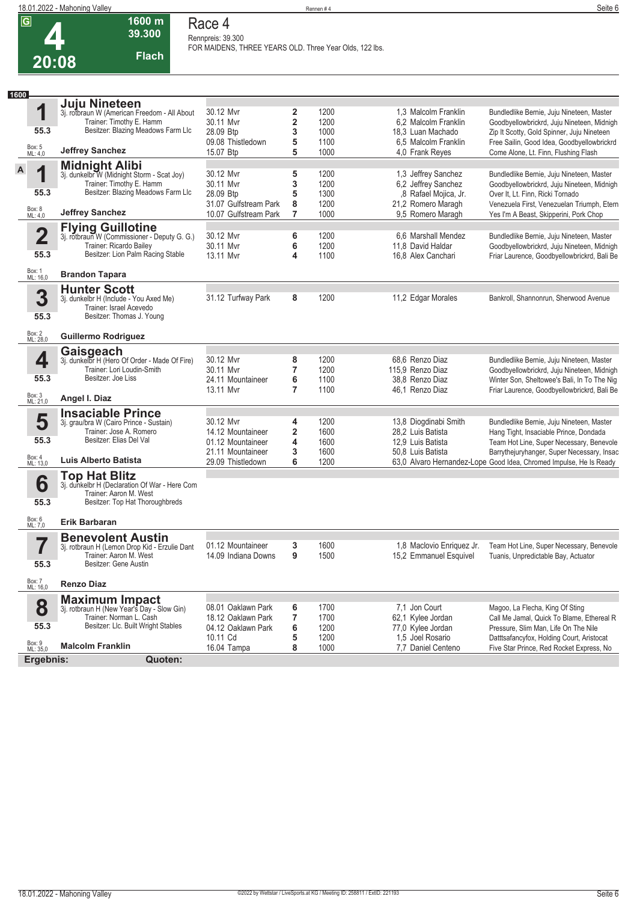**4**

**20:08**

**Race 4 Rennpreis: 39.300**

**1600 m 39.300** 

**Flach**

**FOR MAIDENS, THREE YEARS OLD. Three Year Olds, 122 lbs.** 

| 1600               |                                                                     |                       |                         |      |                           |                                                                    |
|--------------------|---------------------------------------------------------------------|-----------------------|-------------------------|------|---------------------------|--------------------------------------------------------------------|
|                    | <b>Juju Nineteen</b>                                                |                       |                         |      |                           |                                                                    |
| 1                  | 3j. rotbraun W (American Freedom - All About                        | 30.12 Mvr             | 2                       | 1200 | 1,3 Malcolm Franklin      | Bundledlike Bernie, Juju Nineteen, Master                          |
|                    | Trainer: Timothy E. Hamm                                            | 30.11 Myr             | 2                       | 1200 | 6.2 Malcolm Franklin      | Goodbyellowbrickrd, Juju Nineteen, Midnigh                         |
| 55.3               | Besitzer: Blazing Meadows Farm Llc                                  | 28.09 Btp             | 3                       | 1000 | 18,3 Luan Machado         | Zip It Scotty, Gold Spinner, Juju Nineteen                         |
|                    |                                                                     | 09.08 Thistledown     | 5                       | 1100 | 6,5 Malcolm Franklin      | Free Sailin, Good Idea, Goodbyellowbrickrd                         |
| Box: 5<br>ML: 4,0  | <b>Jeffrey Sanchez</b>                                              | 15.07 Btp             | 5                       | 1000 | 4,0 Frank Reyes           | Come Alone, Lt. Finn, Flushing Flash                               |
|                    | <b>Midnight Alibi</b>                                               |                       |                         |      |                           |                                                                    |
| A<br>1             | 3j. dunkelbr W (Midnight Storm - Scat Joy)                          | 30.12 Mvr             | 5                       | 1200 | 1,3 Jeffrey Sanchez       | Bundledlike Bernie, Juju Nineteen, Master                          |
|                    | Trainer: Timothy E. Hamm                                            | 30.11 Mvr             | 3                       | 1200 | 6,2 Jeffrey Sanchez       | Goodbyellowbrickrd, Juju Nineteen, Midnigh                         |
| 55.3               | Besitzer: Blazing Meadows Farm Llc                                  | 28.09 Btp             | 5                       | 1300 | ,8 Rafael Mojica, Jr.     | Over It, Lt. Finn, Ricki Tornado                                   |
|                    |                                                                     | 31.07 Gulfstream Park | 8                       | 1200 | 21,2 Romero Maragh        | Venezuela First, Venezuelan Triumph, Etern                         |
| Box: 8<br>ML: 4,0  | <b>Jeffrey Sanchez</b>                                              | 10.07 Gulfstream Park | 7                       | 1000 | 9,5 Romero Maragh         | Yes I'm A Beast, Skipperini, Pork Chop                             |
|                    |                                                                     |                       |                         |      |                           |                                                                    |
| $\overline{2}$     | Flying Guillotine<br>3j. rotbraun W (Commissioner - Deputy G. G.)   | 30.12 Mvr             | 6                       | 1200 | 6.6 Marshall Mendez       | Bundledlike Bernie, Juju Nineteen, Master                          |
|                    | Trainer: Ricardo Bailey                                             | 30.11 Myr             | 6                       | 1200 | 11.8 David Haldar         | Goodbyellowbrickrd, Juju Nineteen, Midnigh                         |
| 55.3               | Besitzer: Lion Palm Racing Stable                                   | 13.11 Myr             | 4                       | 1100 | 16,8 Alex Canchari        | Friar Laurence, Goodbyellowbrickrd, Bali Be                        |
|                    |                                                                     |                       |                         |      |                           |                                                                    |
| Box: 1<br>ML: 16,0 | <b>Brandon Tapara</b>                                               |                       |                         |      |                           |                                                                    |
|                    | <b>Hunter Scott</b>                                                 |                       |                         |      |                           |                                                                    |
| 3                  | 3j. dunkelbr H (Include - You Axed Me)                              | 31.12 Turfway Park    | 8                       | 1200 | 11,2 Edgar Morales        | Bankroll, Shannonrun, Sherwood Avenue                              |
|                    | Trainer: Israel Acevedo                                             |                       |                         |      |                           |                                                                    |
| 55.3               | Besitzer: Thomas J. Young                                           |                       |                         |      |                           |                                                                    |
| Box: 2<br>ML: 28,0 | <b>Guillermo Rodriguez</b>                                          |                       |                         |      |                           |                                                                    |
|                    |                                                                     |                       |                         |      |                           |                                                                    |
| 4                  | Gaisgeach<br>3j. dunkelbr H (Hero Of Order - Made Of Fire)          | 30.12 Mvr             | 8                       | 1200 | 68,6 Renzo Diaz           | Bundledlike Bernie, Juju Nineteen, Master                          |
|                    | Trainer: Lori Loudin-Smith                                          | 30.11 Myr             | 7                       | 1200 | 115.9 Renzo Diaz          | Goodbyellowbrickrd, Juju Nineteen, Midnigh                         |
| 55.3               | Besitzer: Joe Liss                                                  | 24.11 Mountaineer     | 6                       | 1100 | 38.8 Renzo Diaz           | Winter Son, Sheltowee's Bali, In To The Nig                        |
|                    |                                                                     | 13.11 Myr             | 7                       | 1100 | 46,1 Renzo Diaz           | Friar Laurence, Goodbyellowbrickrd, Bali Be                        |
| Box: 3<br>ML: 21,0 | Angel I. Diaz                                                       |                       |                         |      |                           |                                                                    |
|                    | <b>Insaciable Prince</b>                                            |                       |                         |      |                           |                                                                    |
| 5                  | 3j. grau/bra W (Cairo Prince - Sustain)                             | 30.12 Mvr             | 4                       | 1200 | 13,8 Diogdinabi Smith     | Bundledlike Bernie, Juju Nineteen, Master                          |
|                    | Trainer: Jose A. Romero                                             | 14.12 Mountaineer     | $\overline{\mathbf{2}}$ | 1600 | 28,2 Luis Batista         | Hang Tight, Insaciable Prince, Dondada                             |
| 55.3               | Besitzer: Elias Del Val                                             | 01.12 Mountaineer     | 4                       | 1600 | 12,9 Luis Batista         | Team Hot Line, Super Necessary, Benevole                           |
|                    |                                                                     | 21.11 Mountaineer     | 3                       | 1600 | 50,8 Luis Batista         | Barrythejuryhanger, Super Necessary, Insac                         |
| Box: 4<br>ML: 13,0 | Luis Alberto Batista                                                | 29.09 Thistledown     | 6                       | 1200 |                           | 63,0 Alvaro Hernandez-Lope Good Idea, Chromed Impulse, He Is Ready |
|                    | <b>Top Hat Blitz</b>                                                |                       |                         |      |                           |                                                                    |
| 6                  | 3j. dunkelbr H (Declaration Of War - Here Com                       |                       |                         |      |                           |                                                                    |
| 55.3               | Trainer: Aaron M. West<br>Besitzer: Top Hat Thoroughbreds           |                       |                         |      |                           |                                                                    |
|                    |                                                                     |                       |                         |      |                           |                                                                    |
| Box: 6<br>ML: 7,0  | Erik Barbaran                                                       |                       |                         |      |                           |                                                                    |
|                    | <b>Benevolent Austin</b>                                            |                       |                         |      |                           |                                                                    |
|                    | 3j. rotbraun H (Lemon Drop Kid - Erzulie Dant                       | 01.12 Mountaineer     | 3                       | 1600 | 1,8 Maclovio Enriquez Jr. | Team Hot Line, Super Necessary, Benevole                           |
|                    | Trainer: Aaron M. West                                              | 14.09 Indiana Downs   | 9                       | 1500 | 15,2 Emmanuel Esquivel    | Tuanis, Unpredictable Bay, Actuator                                |
| 55.3               | Besitzer: Gene Austin                                               |                       |                         |      |                           |                                                                    |
| Box: 7<br>ML: 16,0 | <b>Renzo Diaz</b>                                                   |                       |                         |      |                           |                                                                    |
|                    |                                                                     |                       |                         |      |                           |                                                                    |
| 8                  | <b>Maximum Impact</b><br>3j. rotbraun H (New Year's Day - Slow Gin) | 08.01 Oaklawn Park    | 6                       | 1700 | 7.1 Jon Court             | Magoo, La Flecha, King Of Sting                                    |
|                    | Trainer: Norman L. Cash                                             | 18.12 Oaklawn Park    | 7                       | 1700 | 62,1 Kylee Jordan         | Call Me Jamal, Quick To Blame, Ethereal R                          |
| 55.3               | Besitzer: Llc. Built Wright Stables                                 | 04.12 Oaklawn Park    | 6                       | 1200 | 77,0 Kylee Jordan         | Pressure, Slim Man, Life On The Nile                               |
|                    |                                                                     | 10.11 Cd              | 5                       | 1200 | 1.5 Joel Rosario          | Datttsafancyfox, Holding Court, Aristocat                          |
| Box: 9<br>ML: 35,0 | <b>Malcolm Franklin</b>                                             | 16.04 Tampa           | 8                       | 1000 | 7,7 Daniel Centeno        | Five Star Prince, Red Rocket Express, No                           |
| Ergebnis:          | Quoten:                                                             |                       |                         |      |                           |                                                                    |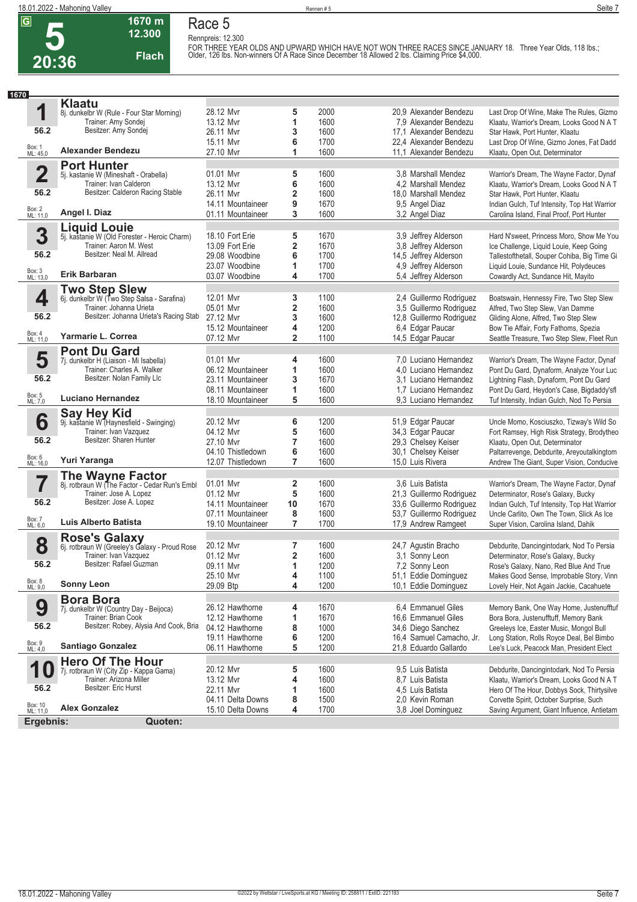## **5 20:36**

### **Race 5 Rennpreis: 12.300**

**1670 m 12.300** 

**Flach**

FOR THREE YEAR OLDS AND UPWARD WHICH HAVE NOT WON THREE RACES SINCE JANUARY 18. Three Year Olds, 118 lbs.;<br>Older, 126 lbs. Non-winners Of A Race Since December 18 Allowed 2 lbs. Claiming Price \$4,000.

| 1670                           |                                                               |                   |                         |      |                          |                                              |
|--------------------------------|---------------------------------------------------------------|-------------------|-------------------------|------|--------------------------|----------------------------------------------|
|                                | <b>Klaatu</b>                                                 |                   |                         |      |                          |                                              |
| 1                              | 8j. dunkelbr W (Rule - Four Star Morning)                     | 28.12 Mvr         | 5                       | 2000 | 20.9 Alexander Bendezu   | Last Drop Of Wine, Make The Rules, Gizmo     |
|                                | Trainer: Amy Sondej                                           | 13.12 Mvr         | 1                       | 1600 | 7,9 Alexander Bendezu    | Klaatu, Warrior's Dream, Looks Good N A T    |
| 56.2                           | Besitzer: Amy Sondej                                          | 26.11 Mvr         | 3                       | 1600 | 17,1 Alexander Bendezu   | Star Hawk, Port Hunter, Klaatu               |
|                                |                                                               | 15.11 Mvr         | 6                       | 1700 | 22,4 Alexander Bendezu   | Last Drop Of Wine, Gizmo Jones, Fat Dadd     |
| Box: 1<br>ML: 45,0             | <b>Alexander Bendezu</b>                                      | 27.10 Mvr         | 1                       | 1600 | 11.1 Alexander Bendezu   | Klaatu, Open Out, Determinator               |
|                                | <b>Port Hunter</b>                                            |                   |                         |      |                          |                                              |
| $\overline{2}$                 | 5j. kastanie W (Mineshaft - Orabella)                         | 01.01 Mvr         | 5                       | 1600 | 3,8 Marshall Mendez      | Warrior's Dream, The Wayne Factor, Dynaf     |
|                                | Trainer: Ivan Calderon                                        | 13.12 Mvr         | 6                       | 1600 | 4,2 Marshall Mendez      | Klaatu, Warrior's Dream, Looks Good N A T    |
| 56.2                           | Besitzer: Calderon Racing Stable                              | 26.11 Mvr         | 2                       | 1600 | 18,0 Marshall Mendez     | Star Hawk, Port Hunter, Klaatu               |
|                                |                                                               | 14.11 Mountaineer | 9                       | 1670 | 9,5 Angel Diaz           | Indian Gulch, Tuf Intensity, Top Hat Warrior |
| Box: 2<br>ML: 11,0             | Angel I. Diaz                                                 | 01.11 Mountaineer | 3                       | 1600 | 3,2 Angel Diaz           | Carolina Island, Final Proof, Port Hunter    |
|                                |                                                               |                   |                         |      |                          |                                              |
| 3                              | <b>Liquid Louie</b>                                           |                   |                         |      | 3.9 Jeffrey Alderson     |                                              |
|                                | 5j. kastanie W (Old Forester - Heroic Charm)                  | 18.10 Fort Erie   | 5                       | 1670 |                          | Hard N'sweet, Princess Moro, Show Me You     |
| 56.2                           | Trainer: Aaron M. West<br>Besitzer: Neal M. Allread           | 13.09 Fort Erie   | 2                       | 1670 | 3,8 Jeffrey Alderson     | Ice Challenge, Liquid Louie, Keep Going      |
|                                |                                                               | 29.08 Woodbine    | 6                       | 1700 | 14,5 Jeffrey Alderson    | Tallestofthetall, Souper Cohiba, Big Time Gi |
|                                |                                                               | 23.07 Woodbine    | 1                       | 1700 | 4,9 Jeffrey Alderson     | Liquid Louie, Sundance Hit, Polydeuces       |
| Box: 3<br>ML: 13,0             | Erik Barbaran                                                 | 03.07 Woodbine    | 4                       | 1700 | 5,4 Jeffrey Alderson     | Cowardly Act, Sundance Hit, Mayito           |
|                                | <b>Two Step Slew</b>                                          |                   |                         |      |                          |                                              |
| 4                              | 6j. dunkelbr W (Two Step Salsa - Sarafina)                    | 12.01 Mvr         | 3                       | 1100 | 2,4 Guillermo Rodriguez  | Boatswain, Hennessy Fire, Two Step Slew      |
|                                | Trainer: Johanna Urieta                                       | 05.01 Mvr         | 2                       | 1600 | 3,5 Guillermo Rodriguez  | Alfred, Two Step Slew, Van Damme             |
| 56.2                           | Besitzer: Johanna Urieta's Racing Stab                        | 27.12 Mvr         | 3                       | 1600 | 12,8 Guillermo Rodriguez | Gliding Alone, Alfred, Two Step Slew         |
|                                |                                                               | 15.12 Mountaineer | 4                       | 1200 | 6,4 Edgar Paucar         | Bow Tie Affair, Forty Fathoms, Spezia        |
| Box: 4<br>ML: 11,0             | Yarmarie L. Correa                                            | 07.12 Mvr         | $\overline{2}$          | 1100 | 14,5 Edgar Paucar        | Seattle Treasure, Two Step Slew, Fleet Run   |
|                                | <b>Pont Du Gard</b>                                           |                   |                         |      |                          |                                              |
| 5                              | 7j. dunkelbr H (Liaison - Mi Isabella)                        | 01.01 Myr         | 4                       | 1600 | 7,0 Luciano Hernandez    | Warrior's Dream, The Wayne Factor, Dynaf     |
|                                | Trainer: Charles A. Walker                                    | 06.12 Mountaineer | 1                       | 1600 | 4.0 Luciano Hernandez    | Pont Du Gard, Dynaform, Analyze Your Luc     |
| 56.2                           | Besitzer: Nolan Family Llc                                    | 23.11 Mountaineer | 3                       | 1670 | 3.1 Luciano Hernandez    | Lightning Flash, Dynaform, Pont Du Gard      |
|                                |                                                               | 08.11 Mountaineer | 1                       | 1600 | 1.7 Luciano Hernandez    | Pont Du Gard, Heydon's Case, Bigdaddy'sfl    |
| Box: 5<br>ML: 7,0              | Luciano Hernandez                                             | 18.10 Mountaineer | 5                       | 1600 | 9,3 Luciano Hernandez    | Tuf Intensity, Indian Gulch, Nod To Persia   |
|                                |                                                               |                   |                         |      |                          |                                              |
| 6                              | <b>Say Hey Kid</b><br>9j. kastanie W (Haynesfield - Swinging) | 20.12 Mvr         | 6                       | 1200 | 51,9 Edgar Paucar        | Uncle Momo, Kosciuszko, Tizway's Wild So     |
|                                | Trainer: Ivan Vazquez                                         | 04.12 Mvr         | 5                       | 1600 | 34,3 Edgar Paucar        | Fort Ramsey, High Risk Strategy, Brodytheo   |
| 56.2                           | Besitzer: Sharen Hunter                                       |                   | 7                       | 1600 |                          |                                              |
|                                |                                                               | 27.10 Mvr         |                         |      | 29,3 Chelsey Keiser      | Klaatu, Open Out, Determinator               |
| Box: 6<br>ML: 16,0             | Yuri Yaranga                                                  | 04.10 Thistledown | 6                       | 1600 | 30,1 Chelsey Keiser      | Paltarrevenge, Debdurite, Areyoutalkingtom   |
|                                |                                                               | 12.07 Thistledown | 7                       | 1600 | 15,0 Luis Rivera         | Andrew The Giant, Super Vision, Conducive    |
|                                | <b>The Wayne Factor</b>                                       |                   |                         |      |                          |                                              |
|                                | 8j. rotbraun W (The Factor - Cedar Run's Embl                 | 01.01 Mvr         | 2                       | 1600 | 3.6 Luis Batista         | Warrior's Dream, The Wayne Factor, Dynaf     |
|                                | Trainer: Jose A. Lopez                                        | 01.12 Myr         | 5                       | 1600 | 21,3 Guillermo Rodriguez | Determinator, Rose's Galaxy, Bucky           |
| 56.2                           | Besitzer: Jose A. Lopez                                       | 14.11 Mountaineer | 10                      | 1670 | 33,6 Guillermo Rodriguez | Indian Gulch, Tuf Intensity, Top Hat Warrior |
| Box: 7                         |                                                               | 07.11 Mountaineer | 8                       | 1600 | 53,7 Guillermo Rodriguez | Uncle Carlito, Own The Town, Slick As Ice    |
| ML: 6,0                        | Luis Alberto Batista                                          | 19.10 Mountaineer | 7                       | 1700 | 17,9 Andrew Ramgeet      | Super Vision, Carolina Island, Dahik         |
|                                | <b>Rose's Galaxy</b>                                          |                   |                         |      |                          |                                              |
| 8                              | 6j. rotbraun W (Greeley's Galaxy - Proud Rose                 | 20.12 Mvr         | 7                       | 1600 | 24,7 Agustin Bracho      | Debdurite, Dancingintodark, Nod To Persia    |
|                                | Trainer: Ivan Vazquez                                         | 01.12 Mvr         | $\overline{\mathbf{2}}$ | 1600 | 3,1 Sonny Leon           | Determinator, Rose's Galaxy, Bucky           |
| 56.2                           | Besitzer: Rafael Guzman                                       | 09.11 Mvr         | 1                       | 1200 | 7,2 Sonny Leon           | Rose's Galaxy, Nano, Red Blue And True       |
|                                |                                                               | 25.10 Mvr         | 4                       | 1100 | 51,1 Eddie Dominguez     | Makes Good Sense, Improbable Story, Vinn     |
| Box: 8<br>ML: 9,0              | <b>Sonny Leon</b>                                             | 29.09 Btp         | 4                       | 1200 | 10.1 Eddie Dominguez     | Lovely Heir, Not Again Jackie, Cacahuete     |
|                                | <b>Bora Bora</b>                                              |                   |                         |      |                          |                                              |
| 9                              | 7j. dunkelbr W (Country Day - Beijoca)                        | 26.12 Hawthorne   | 4                       | 1670 | 6.4 Emmanuel Giles       | Memory Bank, One Way Home, Justenufftuf      |
|                                | Trainer: Brian Cook                                           | 12.12 Hawthorne   | 1                       | 1670 | 16,6 Emmanuel Giles      | Bora Bora, Justenufftuff, Memory Bank        |
| 56.2                           | Besitzer: Robey, Alysia And Cook, Bria                        | 04.12 Hawthorne   | 8                       | 1000 | 34,6 Diego Sanchez       | Greeleys Ice, Easter Music, Mongol Bull      |
|                                |                                                               | 19.11 Hawthorne   | 6                       | 1200 | 16.4 Samuel Camacho. Jr. | Long Station, Rolls Royce Deal, Bel Bimbo    |
| Box: 9<br>ML: 4,0              | <b>Santiago Gonzalez</b>                                      | 06.11 Hawthorne   | 5                       | 1200 | 21.8 Eduardo Gallardo    | Lee's Luck, Peacock Man, President Elect     |
|                                | <b>Hero Of The Hour</b>                                       |                   |                         |      |                          |                                              |
| 1<br>$\boldsymbol{\mathrm{U}}$ | 7j. rotbraun W (City Zip - Kappa Gama)                        | 20.12 Mvr         | 5                       | 1600 | 9,5 Luis Batista         | Debdurite, Dancingintodark, Nod To Persia    |
|                                | Trainer: Arizona Miller                                       | 13.12 Mvr         | 4                       | 1600 | 8,7 Luis Batista         | Klaatu, Warrior's Dream, Looks Good N A T    |
| 56.2                           | Besitzer: Eric Hurst                                          | 22.11 Mvr         | 1                       | 1600 | 4,5 Luis Batista         | Hero Of The Hour, Dobbys Sock, Thirtysilve   |
|                                |                                                               | 04.11 Delta Downs | 8                       | 1500 | 2,0 Kevin Roman          | Corvette Spirit, October Surprise, Such      |
| Box: 10<br>ML: 11,0            | <b>Alex Gonzalez</b>                                          | 15.10 Delta Downs | 4                       | 1700 | 3,8 Joel Dominguez       | Saving Argument, Giant Influence, Antietam   |
| Ergebnis:                      | Quoten:                                                       |                   |                         |      |                          |                                              |
|                                |                                                               |                   |                         |      |                          |                                              |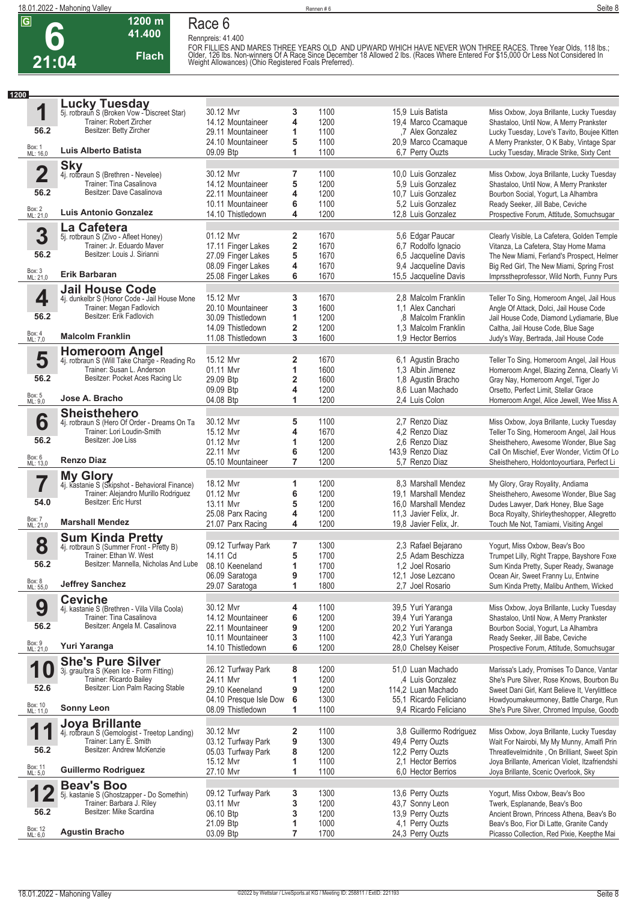

#### **1200 m Race 6 Rennpreis: 41.400**

**41.400 Flach**

FOR FILLIES AND MARES THREE YEARS OLD AND UPWARD WHICH HAVE NEVER WON THREE RACES. Three Year Olds, 118 lbs.;<br>Older, 126 lbs. Non-winners Of A Race Since December 18 Allowed 2 lbs. (Races Where Entered For \$15,000 Or Less

| 1200                    |                                                                           |                                        |                |              |                                        |                                                                                |
|-------------------------|---------------------------------------------------------------------------|----------------------------------------|----------------|--------------|----------------------------------------|--------------------------------------------------------------------------------|
|                         | <b>Lucky Tuesday</b>                                                      |                                        |                |              |                                        |                                                                                |
| 1                       | 5j. rotbraun S (Broken Vow - Discreet Star)                               | 30.12 Mvr                              | 3              | 1100         | 15,9 Luis Batista                      | Miss Oxbow, Joya Brillante, Lucky Tuesday                                      |
|                         | Trainer: Robert Zircher                                                   | 14.12 Mountaineer                      | 4              | 1200         | 19,4 Marco Ccamaque                    | Shastaloo, Until Now, A Merry Prankster                                        |
| 56.2                    | Besitzer: Betty Zircher                                                   | 29.11 Mountaineer                      | 1              | 1100         | ,7 Alex Gonzalez                       | Lucky Tuesday, Love's Tavito, Boujee Kitten                                    |
|                         |                                                                           | 24.10 Mountaineer                      | 5              | 1100         | 20,9 Marco Ccamaque                    | A Merry Prankster, O K Baby, Vintage Spar                                      |
| Box: 1<br>ML: 16,0      | Luis Alberto Batista                                                      | 09.09 Btp                              | 1              | 1100         | 6,7 Perry Ouzts                        | Lucky Tuesday, Miracle Strike, Sixty Cent                                      |
|                         | <b>Sky</b>                                                                |                                        |                |              |                                        |                                                                                |
| $\overline{\mathbf{2}}$ | 4j. rotbraun S (Brethren - Nevelee)                                       | 30.12 Mvr                              | 7              | 1100         | 10,0 Luis Gonzalez                     | Miss Oxbow, Joya Brillante, Lucky Tuesday                                      |
|                         | Trainer: Tina Casalinova                                                  | 14.12 Mountaineer                      | 5              | 1200         | 5.9 Luis Gonzalez                      | Shastaloo, Until Now, A Merry Prankster                                        |
| 56.2                    | Besitzer: Dave Casalinova                                                 | 22.11 Mountaineer                      | 4              | 1200         | 10,7 Luis Gonzalez                     | Bourbon Social, Yogurt, La Alhambra                                            |
|                         |                                                                           | 10.11 Mountaineer                      | 6              | 1100         | 5.2 Luis Gonzalez                      | Ready Seeker, Jill Babe, Ceviche                                               |
| Box: 2<br>ML: 21,0      | <b>Luis Antonio Gonzalez</b>                                              | 14.10 Thistledown                      | 4              | 1200         | 12,8 Luis Gonzalez                     | Prospective Forum, Attitude, Somuchsugar                                       |
|                         | La Cafetera                                                               |                                        |                |              |                                        |                                                                                |
| 3                       | 5j. rotbraun S (Zivo - Afleet Honey)                                      | 01.12 Myr                              | 2              | 1670         | 5,6 Edgar Paucar                       | Clearly Visible, La Cafetera, Golden Temple                                    |
|                         | Trainer: Jr. Eduardo Maver                                                | 17.11 Finger Lakes                     | $\mathbf 2$    | 1670         | 6,7 Rodolfo Ignacio                    | Vitanza, La Cafetera, Stay Home Mama                                           |
| 56.2                    | Besitzer: Louis J. Sirianni                                               | 27.09 Finger Lakes                     | 5              | 1670         | 6,5 Jacqueline Davis                   | The New Miami, Ferland's Prospect, Helmer                                      |
|                         |                                                                           | 08.09 Finger Lakes                     | 4              | 1670         | 9,4 Jacqueline Davis                   | Big Red Girl, The New Miami, Spring Frost                                      |
| Box: 3<br>ML: 21,0      | Erik Barbaran                                                             | 25.08 Finger Lakes                     | 6              | 1670         | 15,5 Jacqueline Davis                  | Imprsstheprofessor, Wild North, Funny Purs                                     |
|                         | <b>Jail House Code</b>                                                    |                                        |                |              |                                        |                                                                                |
| 4                       | 4j. dunkelbr S (Honor Code - Jail House Mone                              | 15.12 Mvr                              | 3              | 1670         | 2.8 Malcolm Franklin                   | Teller To Sing, Homeroom Angel, Jail Hous                                      |
|                         | Trainer: Megan Fadlovich                                                  | 20.10 Mountaineer                      | 3              | 1600         | 1.1 Alex Canchari                      | Angle Of Attack, Dolci, Jail House Code                                        |
| 56.2                    | Besitzer: Erik Fadlovich                                                  | 30.09 Thistledown                      | 1              | 1200         | 8. Malcolm Franklin                    | Jail House Code, Diamond Lydiamarie, Blue                                      |
|                         |                                                                           | 14.09 Thistledown                      | 2              | 1200         | 1.3 Malcolm Franklin                   | Caltha, Jail House Code, Blue Sage                                             |
| Box: 4<br>ML: 7,0       | <b>Malcolm Franklin</b>                                                   | 11.08 Thistledown                      | 3              | 1600         | 1,9 Hector Berrios                     | Judy's Way, Bertrada, Jail House Code                                          |
|                         | <b>Homeroom Angel</b><br>4j. rotbraun S (Will Take Charge - Reading Ro    |                                        |                |              |                                        |                                                                                |
| 5                       |                                                                           | 15.12 Mvr                              | 2              | 1670         | 6,1 Agustin Bracho                     | Teller To Sing, Homeroom Angel, Jail Hous                                      |
|                         | Trainer: Susan L. Anderson                                                | 01.11 Mvr                              | 1              | 1600         | 1,3 Albin Jimenez                      | Homeroom Angel, Blazing Zenna, Clearly Vi                                      |
| 56.2                    | Besitzer: Pocket Aces Racing Llc                                          | 29.09 Btp                              | 2              | 1600         | 1,8 Agustin Bracho                     | Gray Nay, Homeroom Angel, Tiger Jo                                             |
|                         |                                                                           | 09.09 Btp                              | 4              | 1200         | 8,6 Luan Machado                       | Orsetto. Perfect Limit. Stellar Grace                                          |
| Box: 5<br>ML: 9,0       | Jose A. Bracho                                                            | 04.08 Btp                              | 1              | 1200         | 2,4 Luis Colon                         | Homeroom Angel, Alice Jewell, Wee Miss A                                       |
|                         | <b>Sheisthehero</b>                                                       |                                        |                |              |                                        |                                                                                |
| 6                       | 4j. rotbraun S (Hero Of Order - Dreams On Ta                              | 30.12 Mvr                              | 5              | 1100         | 2,7 Renzo Diaz                         | Miss Oxbow, Joya Brillante, Lucky Tuesday                                      |
| 56.2                    | Trainer: Lori Loudin-Smith<br>Besitzer: Joe Liss                          | 15.12 Mvr                              | 4              | 1670         | 4,2 Renzo Diaz                         | Teller To Sing, Homeroom Angel, Jail Hous                                      |
|                         |                                                                           | 01.12 Mvr                              | 1              | 1200         | 2.6 Renzo Diaz                         | Sheisthehero, Awesome Wonder, Blue Sag                                         |
| Box: 6<br>ML: 13,0      | <b>Renzo Diaz</b>                                                         | 22.11 Myr                              | 6              | 1200         | 143,9 Renzo Diaz                       | Call On Mischief, Ever Wonder, Victim Of Lo                                    |
|                         |                                                                           | 05.10 Mountaineer                      | $\overline{7}$ | 1200         | 5,7 Renzo Diaz                         | Sheisthehero, Holdontoyourtiara, Perfect Li                                    |
|                         | <b>My Glory</b>                                                           |                                        |                |              |                                        |                                                                                |
| 7                       | 4j. kastanie S (Skipshot - Behavioral Finance)                            | 18.12 Mvr                              | 1              | 1200         | 8.3 Marshall Mendez                    | My Glory, Gray Royality, Andiama                                               |
| 54.0                    | Trainer: Alejandro Murillo Rodriguez<br>Besitzer: Eric Hurst              | 01.12 Mvr                              | 6              | 1200         | 19.1 Marshall Mendez                   | Sheisthehero, Awesome Wonder, Blue Sag                                         |
|                         |                                                                           | 13.11 Myr                              | 5              | 1200         | 16,0 Marshall Mendez                   | Dudes Lawyer, Dark Honey, Blue Sage                                            |
| Box: 7<br>ML: 21,0      | <b>Marshall Mendez</b>                                                    | 25.08 Parx Racing                      | 4<br>4         | 1200<br>1200 | 11,3 Javier Felix, Jr.                 | Boca Royalty, Shirleytheshopper, Allegretto                                    |
|                         |                                                                           | 21.07 Parx Racing                      |                |              | 19,8 Javier Felix, Jr.                 | Touch Me Not, Tamiami, Visiting Angel                                          |
|                         | <b>Sum Kinda Pretty</b>                                                   |                                        |                |              |                                        |                                                                                |
| 8                       | 4j. rotbraun S (Summer Front - Pretty B)<br>Trainer: Ethan W. West        | 09.12 Turfway Park<br>14.11 Cd         | 7              | 1300         | 2,3 Rafael Bejarano                    | Yogurt, Miss Oxbow, Beav's Boo                                                 |
| 56.2                    | Besitzer: Mannella, Nicholas And Lube                                     |                                        | 5              | 1700         | 2,5 Adam Beschizza                     | Trumpet Lilly, Right Trappe, Bayshore Foxe                                     |
|                         |                                                                           | 08.10 Keeneland<br>06.09 Saratoga      | 1              | 1700<br>1700 | 1,2 Joel Rosario<br>12,1 Jose Lezcano  | Sum Kinda Pretty, Super Ready, Swanage<br>Ocean Air, Sweet Franny Lu, Entwine  |
| Box: 8<br>ML: 55,0      | <b>Jeffrey Sanchez</b>                                                    | 29.07 Saratoga                         | 9<br>1         | 1800         | 2,7 Joel Rosario                       | Sum Kinda Pretty, Malibu Anthem, Wicked                                        |
|                         |                                                                           |                                        |                |              |                                        |                                                                                |
|                         | <b>Ceviche</b>                                                            |                                        |                |              |                                        |                                                                                |
| 9                       | 4j. kastanie S (Brethren - Villa Villa Coola)<br>Trainer: Tina Casalinova | 30.12 Mvr                              | 4              | 1100         | 39,5 Yuri Yaranga<br>39,4 Yuri Yaranga | Miss Oxbow, Joya Brillante, Lucky Tuesday                                      |
| 56.2                    | Besitzer: Angela M. Casalinova                                            | 14.12 Mountaineer<br>22.11 Mountaineer | 6<br>9         | 1200<br>1200 | 20,2 Yuri Yaranga                      | Shastaloo, Until Now, A Merry Prankster<br>Bourbon Social, Yogurt, La Alhambra |
|                         |                                                                           | 10.11 Mountaineer                      | 3              | 1100         | 42,3 Yuri Yaranga                      | Ready Seeker, Jill Babe, Ceviche                                               |
| Box: 9<br>ML: 21,0      | Yuri Yaranga                                                              | 14.10 Thistledown                      | 6              | 1200         | 28,0 Chelsey Keiser                    | Prospective Forum, Attitude, Somuchsugar                                       |
|                         |                                                                           |                                        |                |              |                                        |                                                                                |
| 1                       | <b>She's Pure Silver</b>                                                  | 26.12 Turfway Park                     | 8              | 1200         | 51,0 Luan Machado                      | Marissa's Lady, Promises To Dance, Vantar                                      |
|                         | 3j. grau/bra S (Keen Ice - Form Fitting)<br>Trainer: Ricardo Bailey       | 24.11 Mvr                              | 1              | 1200         | ,4 Luis Gonzalez                       | She's Pure Silver, Rose Knows, Bourbon Bu                                      |
| 52.6                    | Besitzer: Lion Palm Racing Stable                                         | 29.10 Keeneland                        | 9              | 1200         | 114,2 Luan Machado                     | Sweet Dani Girl, Kant Believe It, Verylittlece                                 |
|                         |                                                                           | 04.10 Presque Isle Dow                 | 6              | 1300         | 55,1 Ricardo Feliciano                 | Howdyoumakeurmoney, Battle Charge, Run                                         |
| Box: 10<br>ML: 11,0     | <b>Sonny Leon</b>                                                         | 08.09 Thistledown                      | 1              | 1100         | 9,4 Ricardo Feliciano                  | She's Pure Silver, Chromed Impulse, Goodb                                      |
|                         |                                                                           |                                        |                |              |                                        |                                                                                |
| 1                       | Joya Brillante<br>4j. rotbraun S (Gemologist - Treetop Landing)           | 30.12 Mvr                              | 2              | 1100         | 3,8 Guillermo Rodriguez                | Miss Oxbow, Joya Brillante, Lucky Tuesday                                      |
|                         | Trainer: Larry E. Smith                                                   | 03.12 Turfway Park                     | 9              | 1300         | 49,4 Perry Ouzts                       | Wait For Nairobi, My My Munny, Amalfi Prin                                     |
| 56.2                    | Besitzer: Andrew McKenzie                                                 | 05.03 Turfway Park                     | 8              | 1200         | 12,2 Perry Ouzts                       | Threatlevelmidnite, On Brilliant, Sweet Spin                                   |
|                         |                                                                           | 15.12 Mvr                              | 1              | 1100         | 2.1 Hector Berrios                     | Joya Brillante, American Violet, Itzafriendshi                                 |
| Box: 11<br>ML: 5,0      | <b>Guillermo Rodriguez</b>                                                | 27.10 Mvr                              | 1              | 1100         | 6,0 Hector Berrios                     | Joya Brillante, Scenic Overlook, Sky                                           |
|                         |                                                                           |                                        |                |              |                                        |                                                                                |
|                         | <b>Beav's Boo</b><br>5j. kastanie S (Ghostzapper - Do Somethin)           | 09.12 Turfway Park                     | 3              | 1300         | 13,6 Perry Ouzts                       | Yogurt, Miss Oxbow, Beav's Boo                                                 |
|                         | Trainer: Barbara J. Riley                                                 | 03.11 Myr                              | 3              | 1200         | 43,7 Sonny Leon                        | Twerk, Esplanande, Beav's Boo                                                  |
| 56.2                    | Besitzer: Mike Scardina                                                   | 06.10 Btp                              | 3              | 1200         | 13,9 Perry Ouzts                       | Ancient Brown, Princess Athena, Beav's Bo                                      |
|                         |                                                                           | 21.09 Btp                              | 1              | 1000         | 4,1 Perry Ouzts                        | Beav's Boo, Fior Di Latte, Granite Candy                                       |
| Box: 12<br>ML: 6,0      | <b>Agustin Bracho</b>                                                     | 03.09 Btp                              | $\overline{7}$ | 1700         | 24,3 Perry Ouzts                       | Picasso Collection, Red Pixie, Keepthe Mai                                     |
|                         |                                                                           |                                        |                |              |                                        |                                                                                |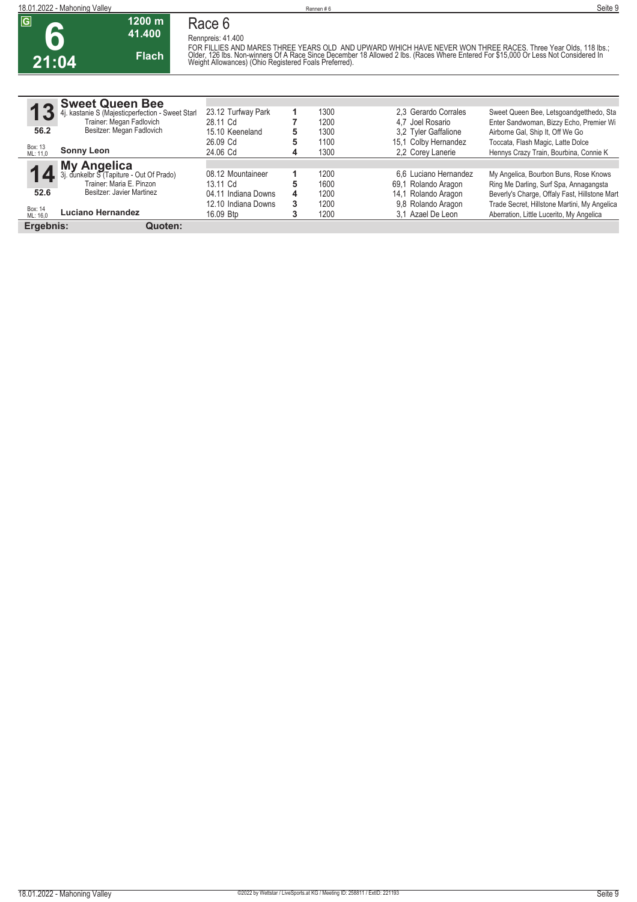

#### **Race 6 Rennpreis: 41.400**

**1200 m**

**41.400 Flach**

FOR FILLIES AND MARES THREE YEARS OLD AND UPWARD WHICH HAVE NEVER WON THREE RACES. Three Year Olds, 118 lbs.;<br>Older, 126 lbs. Non-winners Of A Race Since December 18 Allowed 2 lbs. (Races Where Entered For \$15,000 Or Less

| $\bullet$           | <b>Sweet Queen Bee</b>                       |                     |   |      |                                                                      |
|---------------------|----------------------------------------------|---------------------|---|------|----------------------------------------------------------------------|
| 13                  | kastanie S (Majesticperfection - Sweet Starl | 23.12 Turfway Park  |   | 1300 | 2.3 Gerardo Corrales<br>Sweet Queen Bee, Letsgoandgetthedo, Sta      |
|                     | Trainer: Megan Fadlovich                     | 28.11 Cd            |   | 1200 | Enter Sandwoman, Bizzy Echo, Premier Wi<br>4.7 Joel Rosario          |
| 56.2                | Besitzer: Megan Fadlovich                    | 15.10 Keeneland     | 5 | 1300 | 3.2 Tyler Gaffalione<br>Airborne Gal, Ship It, Off We Go             |
|                     |                                              | 26.09 Cd            | 5 | 1100 | 15.1 Colby Hernandez<br>Toccata, Flash Magic, Latte Dolce            |
| Box: 13<br>ML: 11,0 | <b>Sonny Leon</b>                            | 24.06 Cd            | 4 | 1300 | 2.2 Corey Lanerie<br>Hennys Crazy Train, Bourbina, Connie K          |
|                     | Angelica<br><b>Mv</b>                        |                     |   |      |                                                                      |
|                     | dunkelbr S (Tapiture - Out Of Prado)         | 08.12 Mountaineer   |   | 1200 | 6.6 Luciano Hernandez<br>My Angelica, Bourbon Buns, Rose Knows       |
|                     | Trainer: Maria E. Pinzon                     | 13.11 Cd            | 5 | 1600 | 69.1 Rolando Aragon<br>Ring Me Darling, Surf Spa, Annagangsta        |
| 52.6                | Besitzer: Javier Martinez                    | 04.11 Indiana Downs | 4 | 1200 | 14,1 Rolando Aragon<br>Beverly's Charge, Offaly Fast, Hillstone Mart |
|                     |                                              | 12.10 Indiana Downs | 3 | 1200 | 9.8 Rolando Aragon<br>Trade Secret, Hillstone Martini, My Angelica   |
| Box: 14<br>ML: 16,0 | Luciano Hernandez                            | 16.09 Btp           |   | 1200 | 3.1 Azael De Leon<br>Aberration, Little Lucerito, My Angelica        |
| Ergebnis:           | Quoten:                                      |                     |   |      |                                                                      |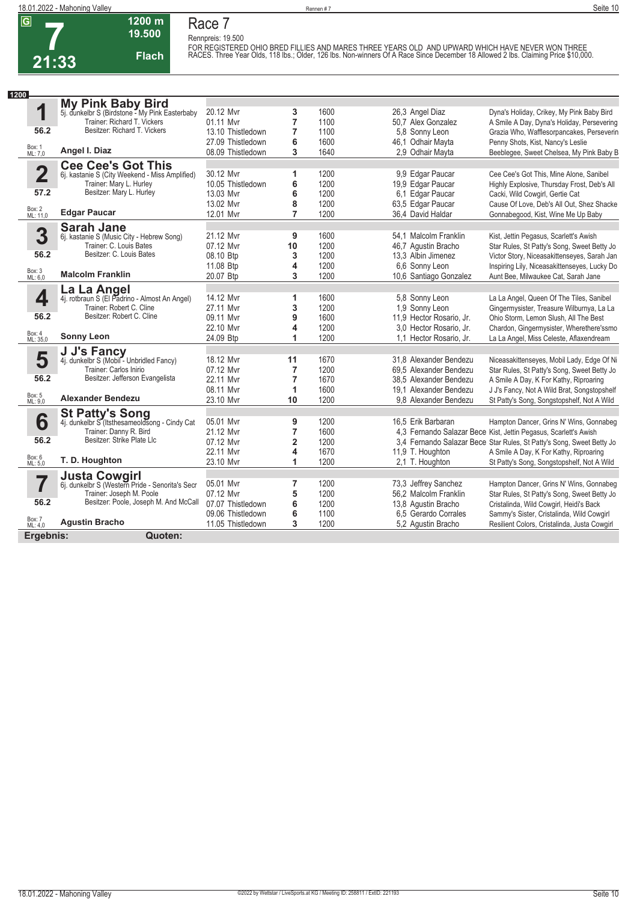**7**

# **Race 7**

**21:33 19.500 Flach**

**1200 m**

Rennpreis: 19.500<br>FOR REGISTERED OHIO BRED FILLIES AND MARES THREE YEARS OLD AND UPWARD WHICH HAVE NEVER WON THREE<br>RACES. Three Year Olds, 118 lbs.; Older, 126 lbs. Non-winners Of A Race Since December 18 Allowed 2 lbs. C

| 1200                    |                                                                                                    |                        |                         |              |                                               |                                                                                           |
|-------------------------|----------------------------------------------------------------------------------------------------|------------------------|-------------------------|--------------|-----------------------------------------------|-------------------------------------------------------------------------------------------|
|                         | My Pink Baby Bird<br>5j. dunkelbr S (Birdstone - My Pink Easterbaby<br>Trainer: Richard T. Vickers |                        |                         |              |                                               |                                                                                           |
| 1                       |                                                                                                    | 20.12 Mvr              | 3                       | 1600         | 26,3 Angel Diaz                               | Dyna's Holiday, Crikey, My Pink Baby Bird                                                 |
|                         |                                                                                                    | 01.11 Mvr              | $\overline{7}$          | 1100         | 50,7 Alex Gonzalez                            | A Smile A Day, Dyna's Holiday, Persevering                                                |
| 56.2                    | Besitzer: Richard T. Vickers                                                                       | 13.10 Thistledown      | $\overline{7}$          | 1100         | 5.8 Sonny Leon                                | Grazia Who, Wafflesorpancakes, Perseverin                                                 |
|                         |                                                                                                    | 27.09 Thistledown      | 6                       | 1600         | 46,1 Odhair Mayta                             | Penny Shots, Kist, Nancy's Leslie                                                         |
| Box: 1<br>ML: 7,0       | Angel I. Diaz                                                                                      | 08.09 Thistledown      | 3                       | 1640         | 2,9 Odhair Mayta                              | Beeblegee, Sweet Chelsea, My Pink Baby B                                                  |
|                         | <b>Cee Cee's Got This</b>                                                                          |                        |                         |              |                                               |                                                                                           |
| $\overline{\mathbf{2}}$ | 6j. kastanie S (City Weekend - Miss Amplified)                                                     | 30.12 Mvr              | 1                       | 1200         | 9,9 Edgar Paucar                              | Cee Cee's Got This, Mine Alone, Sanibel                                                   |
|                         | Trainer: Mary L. Hurley                                                                            | 10.05 Thistledown      | 6                       | 1200         | 19,9 Edgar Paucar                             | Highly Explosive, Thursday Frost, Deb's All                                               |
| 57.2                    | Besitzer: Mary L. Hurley                                                                           | 13.03 Mvr              | 6                       | 1200         | 6,1 Edgar Paucar                              | Cacki, Wild Cowgirl, Gertie Cat                                                           |
|                         |                                                                                                    | 13.02 Mvr              | 8                       | 1200         | 63,5 Edgar Paucar                             | Cause Of Love, Deb's All Out, Shez Shacke                                                 |
| Box: 2<br>ML: 11,0      | <b>Edgar Paucar</b>                                                                                | 12.01 Myr              | $\overline{7}$          | 1200         | 36,4 David Haldar                             | Gonnabegood, Kist, Wine Me Up Baby                                                        |
|                         | <b>Sarah Jane</b>                                                                                  |                        |                         |              |                                               |                                                                                           |
| 3                       | 6j. kastanie S (Music City - Hebrew Song)                                                          | 21.12 Mvr              | 9                       | 1600         | 54.1 Malcolm Franklin                         | Kist, Jettin Pegasus, Scarlett's Awish                                                    |
|                         | Trainer: C. Louis Bates                                                                            | 07.12 Mvr              | 10                      | 1200         | 46,7 Agustin Bracho                           | Star Rules, St Patty's Song, Sweet Betty Jo                                               |
| 56.2                    | Besitzer: C. Louis Bates                                                                           | 08.10 Btp              | 3                       | 1200         | 13.3 Albin Jimenez                            | Victor Story, Niceasakittenseyes, Sarah Jan                                               |
| Box: 3<br>ML: 6,0       | <b>Malcolm Franklin</b>                                                                            | 11.08 Btp              | $\overline{\mathbf{4}}$ | 1200         | 6.6 Sonny Leon                                | Inspiring Lily, Niceasakittenseyes, Lucky Do                                              |
|                         |                                                                                                    | 20.07 Btp              | 3                       | 1200         | 10,6 Santiago Gonzalez                        | Aunt Bee, Milwaukee Cat, Sarah Jane                                                       |
|                         | La La Angel<br>4j. rotbraun S (El Padrino - Almost An Angel)                                       |                        |                         |              |                                               |                                                                                           |
| 4                       |                                                                                                    | 14.12 Mvr              | 1                       | 1600         | 5,8 Sonny Leon                                | La La Angel, Queen Of The Tiles, Sanibel                                                  |
| 56.2                    | Trainer: Robert C. Cline<br>Besitzer: Robert C. Cline                                              | 27.11 Mvr              | 3                       | 1200         | 1.9 Sonny Leon                                | Gingermysister, Treasure Wilburnya, La La                                                 |
|                         |                                                                                                    | 09.11 Mvr              | 9                       | 1600         | 11,9 Hector Rosario, Jr.                      | Ohio Storm, Lemon Slush, All The Best                                                     |
|                         | <b>Sonny Leon</b>                                                                                  | 22.10 Mvr              | 4                       | 1200         | 3.0 Hector Rosario, Jr.                       | Chardon, Gingermysister, Wherethere'ssmo                                                  |
| Box: 4<br>ML: 35,0      |                                                                                                    | 24.09 Btp              | 1                       | 1200         | 1.1 Hector Rosario, Jr.                       | La La Angel, Miss Celeste, Aflaxendream                                                   |
|                         | <b>J J's Fancy</b>                                                                                 |                        |                         |              |                                               |                                                                                           |
| 5                       | 4j. dunkelbr S (Mobil - Unbridled Fancy)                                                           | 18.12 Mvr              | 11                      | 1670         | 31,8 Alexander Bendezu                        | Niceasakittenseyes, Mobil Lady, Edge Of Ni                                                |
| 56.2                    | Trainer: Carlos Inirio<br>Besitzer: Jefferson Evangelista                                          | 07.12 Mvr              | $\overline{7}$          | 1200         | 69.5 Alexander Bendezu                        | Star Rules, St Patty's Song, Sweet Betty Jo                                               |
|                         |                                                                                                    | 22.11 Mvr              | 7                       | 1670         | 38,5 Alexander Bendezu                        | A Smile A Day, K For Kathy, Riproaring                                                    |
| Box: 5<br>ML: 9,0       | <b>Alexander Bendezu</b>                                                                           | 08.11 Mvr              | 1                       | 1600         | 19.1 Alexander Bendezu                        | J J's Fancy, Not A Wild Brat, Songstopshelf                                               |
|                         |                                                                                                    | 23.10 Mvr              | 10                      | 1200         | 9.8 Alexander Bendezu                         | St Patty's Song, Songstopshelf, Not A Wild                                                |
|                         | St Patty's Song<br>4j. dunkelbr S (Itsthesameoldsong - Cindy Cat                                   |                        |                         |              |                                               |                                                                                           |
| 6                       |                                                                                                    | 05.01 Mvr              | 9                       | 1200         | 16.5 Erik Barbaran                            | Hampton Dancer, Grins N' Wins, Gonnabeg                                                   |
| 56.2                    | Trainer: Danny R. Bird<br>Besitzer: Strike Plate Llc                                               | 21.12 Mvr<br>07.12 Mvr | $\overline{7}$          | 1600<br>1200 |                                               | 4,3 Fernando Salazar Bece Kist, Jettin Pegasus, Scarlett's Awish                          |
|                         |                                                                                                    | 22.11 Mvr              | $\overline{2}$          |              |                                               | 3,4 Fernando Salazar Bece Star Rules, St Patty's Song, Sweet Betty Jo                     |
| Box: 6<br>ML: 5,0       | T. D. Houghton                                                                                     | 23.10 Mvr              | 4<br>1                  | 1670<br>1200 | 11,9 T. Houghton                              | A Smile A Day, K For Kathy, Riproaring                                                    |
|                         |                                                                                                    |                        |                         |              | 2,1 T. Houghton                               | St Patty's Song, Songstopshelf, Not A Wild                                                |
|                         | Justa Cowgirl<br>6j. dunkelbr S (Western Pride - Senorita's Secr                                   |                        |                         |              |                                               |                                                                                           |
| 7                       | Trainer: Joseph M. Poole                                                                           | 05.01 Mvr<br>07.12 Mvr | 7<br>5                  | 1200<br>1200 | 73,3 Jeffrey Sanchez<br>56,2 Malcolm Franklin | Hampton Dancer, Grins N' Wins, Gonnabeg                                                   |
| 56.2                    | Besitzer: Poole, Joseph M. And McCall 07.07 Thistledown                                            |                        |                         | 1200         |                                               | Star Rules, St Patty's Song, Sweet Betty Jo                                               |
|                         |                                                                                                    | 09.06 Thistledown      | 6<br>6                  | 1100         | 13,8 Agustin Bracho<br>6.5 Gerardo Corrales   | Cristalinda, Wild Cowgirl, Heidi's Back                                                   |
| Box: 7<br>ML: 4,0       | <b>Agustin Bracho</b>                                                                              | 11.05 Thistledown      | 3                       | 1200         | 5,2 Agustin Bracho                            | Sammy's Sister, Cristalinda, Wild Cowgirl<br>Resilient Colors, Cristalinda, Justa Cowgirl |
|                         |                                                                                                    |                        |                         |              |                                               |                                                                                           |
| Ergebnis:               | Quoten:                                                                                            |                        |                         |              |                                               |                                                                                           |

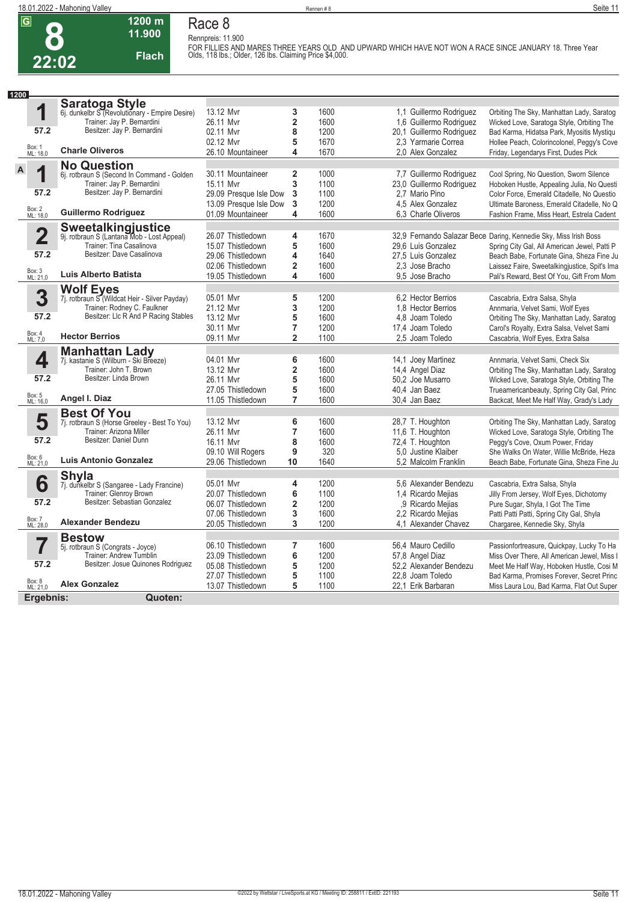**8 22:02**

## **Race 8 Rennpreis: 11.900**

**1200 m 11.900** 

**Flach**

**FOR FILLIES AND MARES THREE YEARS OLD AND UPWARD WHICH HAVE NOT WON A RACE SINCE JANUARY 18. Three Year Olds, 118 lbs.; Older, 126 lbs. Claiming Price \$4,000.** 

| 1200                    |                                                                         |                        |                         |      |                          |                                                                  |
|-------------------------|-------------------------------------------------------------------------|------------------------|-------------------------|------|--------------------------|------------------------------------------------------------------|
|                         | <b>Saratoga Style</b><br>6j. dunkelbr S (Revolutionary - Empire Desire) |                        |                         |      |                          |                                                                  |
| 1                       |                                                                         | 13.12 Mvr              | 3                       | 1600 | 1.1 Guillermo Rodriguez  | Orbiting The Sky, Manhattan Lady, Saratog                        |
|                         | Trainer: Jay P. Bernardini                                              | 26.11 Mvr              | $\mathbf 2$             | 1600 | 1,6 Guillermo Rodriguez  | Wicked Love, Saratoga Style, Orbiting The                        |
| 57.2                    | Besitzer: Jay P. Bernardini                                             | 02.11 Mvr              | 8                       | 1200 | 20,1 Guillermo Rodriguez | Bad Karma, Hidatsa Park, Myositis Mystiqu                        |
|                         |                                                                         | 02.12 Mvr              | 5                       | 1670 | 2.3 Yarmarie Correa      | Hollee Peach, Colorincolonel, Peggy's Cove                       |
| Box: 1<br>ML: 18,0      | <b>Charle Oliveros</b>                                                  | 26.10 Mountaineer      | 4                       | 1670 | 2.0 Alex Gonzalez        | Friday, Legendarys First, Dudes Pick                             |
|                         | <b>No Question</b>                                                      |                        |                         |      |                          |                                                                  |
| A<br>1                  | 6j. rotbraun S (Second In Command - Golden                              | 30.11 Mountaineer      | $\overline{\mathbf{2}}$ | 1000 | 7,7 Guillermo Rodriguez  | Cool Spring, No Question, Sworn Silence                          |
|                         | Trainer: Jay P. Bernardini                                              | 15.11 Myr              | 3                       | 1100 | 23,0 Guillermo Rodriguez | Hoboken Hustle, Appealing Julia, No Questi                       |
| 57.2                    | Besitzer: Jay P. Bernardini                                             | 29.09 Presque Isle Dow | 3                       | 1100 | 2.7 Mario Pino           | Color Force, Emerald Citadelle, No Questio                       |
|                         |                                                                         | 13.09 Presque Isle Dow | 3                       | 1200 | 4.5 Alex Gonzalez        | Ultimate Baroness, Emerald Citadelle, No Q                       |
| Box: 2<br>ML: 18,0      | <b>Guillermo Rodriguez</b>                                              | 01.09 Mountaineer      | 4                       | 1600 | 6.3 Charle Oliveros      | Fashion Frame, Miss Heart, Estrela Cadent                        |
|                         |                                                                         |                        |                         |      |                          |                                                                  |
| $\overline{\mathbf{2}}$ | <b>Sweetalkingjustice</b><br>9j. rotbraun S (Lantana Mob - Lost Appeal) | 26.07 Thistledown      | 4                       | 1670 |                          | 32,9 Fernando Salazar Bece Daring, Kennedie Sky, Miss Irish Boss |
|                         | Trainer: Tina Casalinova                                                | 15.07 Thistledown      | 5                       | 1600 | 29.6 Luis Gonzalez       | Spring City Gal, All American Jewel, Patti P                     |
| 57.2                    | Besitzer: Dave Casalinova                                               | 29.06 Thistledown      | 4                       | 1640 | 27.5 Luis Gonzalez       | Beach Babe, Fortunate Gina, Sheza Fine Ju                        |
|                         |                                                                         | 02.06 Thistledown      | $\overline{2}$          | 1600 | 2.3 Jose Bracho          | Laissez Faire, Sweetalkingjustice, Spit's Ima                    |
| Box: 3<br>ML: 21,0      | <b>Luis Alberto Batista</b>                                             | 19.05 Thistledown      | 4                       | 1600 | 9.5 Jose Bracho          | Pali's Reward, Best Of You, Gift From Mom                        |
|                         | <b>Wolf Eyes</b>                                                        |                        |                         |      |                          |                                                                  |
| 3                       | 7j. rotbraun S (Wildcat Heir - Silver Payday)                           | 05.01 Mvr              | 5                       | 1200 | 6.2 Hector Berrios       | Cascabria, Extra Salsa, Shyla                                    |
|                         | Trainer: Rodney C. Faulkner                                             | 21.12 Mvr              | 3                       | 1200 | 1.8 Hector Berrios       | Annmaria, Velvet Sami, Wolf Eyes                                 |
| 57.2                    | Besitzer: Llc R And P Racing Stables                                    | 13.12 Mvr              | 5                       | 1600 | 4.8 Joam Toledo          | Orbiting The Sky, Manhattan Lady, Saratog                        |
|                         |                                                                         | 30.11 Myr              | $\overline{7}$          | 1200 | 17.4 Joam Toledo         | Carol's Royalty, Extra Salsa, Velvet Sami                        |
| Box: 4<br>ML: 7,0       | <b>Hector Berrios</b>                                                   | 09.11 Mvr              | $\overline{2}$          | 1100 | 2.5 Joam Toledo          | Cascabria, Wolf Eyes, Extra Salsa                                |
|                         | <b>Manhattan Lady</b>                                                   |                        |                         |      |                          |                                                                  |
| 4                       | 7j. kastanie S (Wilburn - Ski Breeze)                                   | 04.01 Mvr              | 6                       | 1600 | 14,1 Joey Martinez       | Annmaria, Velvet Sami, Check Six                                 |
|                         | Trainer: John T. Brown                                                  | 13.12 Mvr              | $\overline{\mathbf{2}}$ | 1600 | 14,4 Angel Diaz          | Orbiting The Sky, Manhattan Lady, Saratog                        |
| 57.2                    | Besitzer: Linda Brown                                                   | 26.11 Mvr              | 5                       | 1600 | 50,2 Joe Musarro         | Wicked Love, Saratoga Style, Orbiting The                        |
|                         |                                                                         | 27.05 Thistledown      | 5                       | 1600 | 40.4 Jan Baez            | Trueamericanbeauty, Spring City Gal, Princ                       |
| Box: 5<br>ML: 16,0      | Angel I. Diaz                                                           | 11.05 Thistledown      | $\overline{7}$          | 1600 | 30,4 Jan Baez            | Backcat, Meet Me Half Way, Grady's Lady                          |
|                         | <b>Best Of You</b>                                                      |                        |                         |      |                          |                                                                  |
| 5                       | 7j. rotbraun S (Horse Greeley - Best To You)                            | 13.12 Mvr              | 6                       | 1600 | 28,7 T. Houghton         | Orbiting The Sky, Manhattan Lady, Saratog                        |
|                         | Trainer: Arizona Miller                                                 | 26.11 Mvr              | $\overline{7}$          | 1600 | 11,6 T. Houghton         | Wicked Love, Saratoga Style, Orbiting The                        |
| 57.2                    | Besitzer: Daniel Dunn                                                   | 16.11 Mvr              | 8                       | 1600 | 72,4 T. Houghton         | Peggy's Cove, Oxum Power, Friday                                 |
|                         |                                                                         | 09.10 Will Rogers      | 9                       | 320  | 5.0 Justine Klaiber      | She Walks On Water, Willie McBride, Heza                         |
| Box: 6<br>ML: 21,0      | <b>Luis Antonio Gonzalez</b>                                            | 29.06 Thistledown      | 10                      | 1640 | 5.2 Malcolm Franklin     | Beach Babe, Fortunate Gina, Sheza Fine Ju                        |
|                         | <b>Shyla</b>                                                            |                        |                         |      |                          |                                                                  |
| 6                       | 7j. dunkelbr S (Sangaree - Lady Francine)                               | 05.01 Mvr              | 4                       | 1200 | 5.6 Alexander Bendezu    | Cascabria, Extra Salsa, Shyla                                    |
|                         | Trainer: Glenroy Brown                                                  | 20.07 Thistledown      | 6                       | 1100 | 1,4 Ricardo Mejias       | Jilly From Jersey, Wolf Eyes, Dichotomy                          |
| 57.2                    | Besitzer: Sebastian Gonzalez                                            | 06.07 Thistledown      | $\overline{\mathbf{2}}$ | 1200 | ,9 Ricardo Mejias        | Pure Sugar, Shyla, I Got The Time                                |
|                         |                                                                         | 07.06 Thistledown      | 3                       | 1600 | 2,2 Ricardo Mejias       | Patti Patti Patti, Spring City Gal, Shyla                        |
| Box: 7<br>ML: 28,0      | <b>Alexander Bendezu</b>                                                | 20.05 Thistledown      | 3                       | 1200 | 4.1 Alexander Chavez     | Chargaree, Kennedie Sky, Shyla                                   |
|                         | <b>Bestow</b>                                                           |                        |                         |      |                          |                                                                  |
| 7                       | 5j. rotbraun S (Congrats - Joyce)                                       | 06.10 Thistledown      | 7                       | 1600 | 56,4 Mauro Cedillo       | Passionfortreasure, Quickpay, Lucky To Ha                        |
|                         | Trainer: Andrew Tumblin                                                 | 23.09 Thistledown      | 6                       | 1200 | 57,8 Angel Diaz          | Miss Over There, All American Jewel, Miss I                      |
| 57.2                    | Besitzer: Josue Quinones Rodriguez                                      | 05.08 Thistledown      | 5                       | 1200 | 52.2 Alexander Bendezu   | Meet Me Half Way, Hoboken Hustle, Cosi M                         |
|                         |                                                                         | 27.07 Thistledown      | 5                       | 1100 | 22,8 Joam Toledo         | Bad Karma, Promises Forever, Secret Princ                        |
| Box: 8<br>ML: 21,0      | <b>Alex Gonzalez</b>                                                    | 13.07 Thistledown      | 5                       | 1100 | 22.1 Erik Barbaran       | Miss Laura Lou, Bad Karma, Flat Out Super                        |
| Ergebnis:               | Quoten:                                                                 |                        |                         |      |                          |                                                                  |